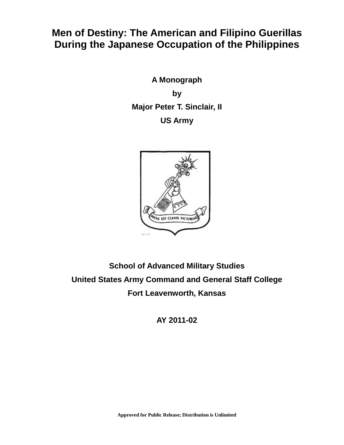# **Men of Destiny: The American and Filipino Guerillas During the Japanese Occupation of the Philippines**

**A Monograph by Major Peter T. Sinclair, II US Army**



# **School of Advanced Military Studies United States Army Command and General Staff College Fort Leavenworth, Kansas**

**AY 2011-02**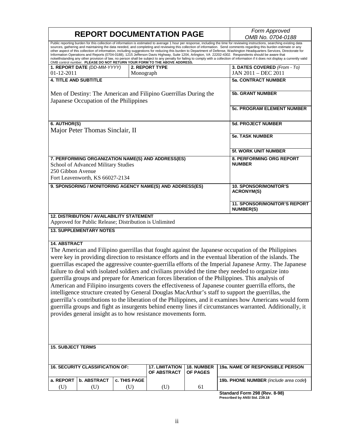| <b>REPORT DOCUMENTATION PAGE</b>                                                                                                                                                                                                                                                                                                                                                                                                                                                                                                                                                                                                                                                                                                                                                |                               |                               | Form Approved                                                                                       |  |
|---------------------------------------------------------------------------------------------------------------------------------------------------------------------------------------------------------------------------------------------------------------------------------------------------------------------------------------------------------------------------------------------------------------------------------------------------------------------------------------------------------------------------------------------------------------------------------------------------------------------------------------------------------------------------------------------------------------------------------------------------------------------------------|-------------------------------|-------------------------------|-----------------------------------------------------------------------------------------------------|--|
| Public reporting burden for this collection of information is estimated to average 1 hour per response, including the time for reviewing instructions, searching existing data                                                                                                                                                                                                                                                                                                                                                                                                                                                                                                                                                                                                  |                               |                               | OMB No. 0704-0188                                                                                   |  |
| sources, gathering and maintaining the data needed, and completing and reviewing this collection of information. Send comments regarding this burden estimate or any<br>other aspect of this collection of information, including suggestions for reducing this burden to Department of Defense, Washington Headquarters Services, Directorate for<br>Information Operations and Reports (0704-0188), 1215 Jefferson Davis Highway, Suite 1204, Arlington, VA 22202-4302. Respondents should be aware that<br>notwithstanding any other provision of law, no person shall be subject to any penalty for failing to comply with a collection of information if it does not display a currently valid<br>OMB control number. PLEASE DO NOT RETURN YOUR FORM TO THE ABOVE ADDRESS. |                               |                               |                                                                                                     |  |
| 1. REPORT DATE (DD-MM-YYYY)                                                                                                                                                                                                                                                                                                                                                                                                                                                                                                                                                                                                                                                                                                                                                     | <b>2. REPORT TYPE</b>         |                               | 3. DATES COVERED (From - To)                                                                        |  |
| 01-12-2011                                                                                                                                                                                                                                                                                                                                                                                                                                                                                                                                                                                                                                                                                                                                                                      | Monograph                     |                               | JAN 2011 - DEC 2011                                                                                 |  |
| <b>4. TITLE AND SUBTITLE</b>                                                                                                                                                                                                                                                                                                                                                                                                                                                                                                                                                                                                                                                                                                                                                    |                               |                               | <b>5a. CONTRACT NUMBER</b>                                                                          |  |
|                                                                                                                                                                                                                                                                                                                                                                                                                                                                                                                                                                                                                                                                                                                                                                                 |                               |                               |                                                                                                     |  |
| Men of Destiny: The American and Filipino Guerrillas During the<br>Japanese Occupation of the Philippines                                                                                                                                                                                                                                                                                                                                                                                                                                                                                                                                                                                                                                                                       |                               |                               | <b>5b. GRANT NUMBER</b>                                                                             |  |
|                                                                                                                                                                                                                                                                                                                                                                                                                                                                                                                                                                                                                                                                                                                                                                                 |                               |                               | <b>5c. PROGRAM ELEMENT NUMBER</b>                                                                   |  |
| 6. AUTHOR(S)<br>Major Peter Thomas Sinclair, II                                                                                                                                                                                                                                                                                                                                                                                                                                                                                                                                                                                                                                                                                                                                 |                               | <b>5d. PROJECT NUMBER</b>     |                                                                                                     |  |
|                                                                                                                                                                                                                                                                                                                                                                                                                                                                                                                                                                                                                                                                                                                                                                                 |                               | <b>5e. TASK NUMBER</b>        |                                                                                                     |  |
|                                                                                                                                                                                                                                                                                                                                                                                                                                                                                                                                                                                                                                                                                                                                                                                 |                               | <b>5f. WORK UNIT NUMBER</b>   |                                                                                                     |  |
| 7. PERFORMING ORGANIZATION NAME(S) AND ADDRESS(ES)<br>School of Advanced Military Studies<br>250 Gibbon Avenue<br>Fort Leavenworth, KS 66027-2134                                                                                                                                                                                                                                                                                                                                                                                                                                                                                                                                                                                                                               |                               |                               | 8. PERFORMING ORG REPORT<br><b>NUMBER</b>                                                           |  |
|                                                                                                                                                                                                                                                                                                                                                                                                                                                                                                                                                                                                                                                                                                                                                                                 |                               |                               |                                                                                                     |  |
| 9. SPONSORING / MONITORING AGENCY NAME(S) AND ADDRESS(ES)                                                                                                                                                                                                                                                                                                                                                                                                                                                                                                                                                                                                                                                                                                                       |                               |                               | <b>10. SPONSOR/MONITOR'S</b><br><b>ACRONYM(S)</b>                                                   |  |
|                                                                                                                                                                                                                                                                                                                                                                                                                                                                                                                                                                                                                                                                                                                                                                                 |                               |                               | <b>11. SPONSOR/MONITOR'S REPORT</b><br><b>NUMBER(S)</b>                                             |  |
| <b>12. DISTRIBUTION / AVAILABILITY STATEMENT</b><br>Approved for Public Release; Distribution is Unlimited                                                                                                                                                                                                                                                                                                                                                                                                                                                                                                                                                                                                                                                                      |                               |                               |                                                                                                     |  |
| <b>13. SUPPLEMENTARY NOTES</b>                                                                                                                                                                                                                                                                                                                                                                                                                                                                                                                                                                                                                                                                                                                                                  |                               |                               |                                                                                                     |  |
| <b>14. ABSTRACT</b>                                                                                                                                                                                                                                                                                                                                                                                                                                                                                                                                                                                                                                                                                                                                                             |                               |                               |                                                                                                     |  |
|                                                                                                                                                                                                                                                                                                                                                                                                                                                                                                                                                                                                                                                                                                                                                                                 |                               |                               | The American and Filipino guerrillas that fought against the Japanese occupation of the Philippines |  |
| were key in providing direction to resistance efforts and in the eventual liberation of the islands. The                                                                                                                                                                                                                                                                                                                                                                                                                                                                                                                                                                                                                                                                        |                               |                               |                                                                                                     |  |
| guerrillas escaped the aggressive counter-guerrilla efforts of the Imperial Japanese Army. The Japanese                                                                                                                                                                                                                                                                                                                                                                                                                                                                                                                                                                                                                                                                         |                               |                               |                                                                                                     |  |
|                                                                                                                                                                                                                                                                                                                                                                                                                                                                                                                                                                                                                                                                                                                                                                                 |                               |                               |                                                                                                     |  |
| failure to deal with isolated soldiers and civilians provided the time they needed to organize into                                                                                                                                                                                                                                                                                                                                                                                                                                                                                                                                                                                                                                                                             |                               |                               |                                                                                                     |  |
| guerrilla groups and prepare for American forces liberation of the Philippines. This analysis of                                                                                                                                                                                                                                                                                                                                                                                                                                                                                                                                                                                                                                                                                |                               |                               |                                                                                                     |  |
| American and Filipino insurgents covers the effectiveness of Japanese counter guerrilla efforts, the                                                                                                                                                                                                                                                                                                                                                                                                                                                                                                                                                                                                                                                                            |                               |                               |                                                                                                     |  |
| intelligence structure created by General Douglas MacArthur's staff to support the guerrillas, the                                                                                                                                                                                                                                                                                                                                                                                                                                                                                                                                                                                                                                                                              |                               |                               |                                                                                                     |  |
| guerrilla's contributions to the liberation of the Philippines, and it examines how Americans would form                                                                                                                                                                                                                                                                                                                                                                                                                                                                                                                                                                                                                                                                        |                               |                               |                                                                                                     |  |
| guerrilla groups and fight as insurgents behind enemy lines if circumstances warranted. Additionally, it                                                                                                                                                                                                                                                                                                                                                                                                                                                                                                                                                                                                                                                                        |                               |                               |                                                                                                     |  |
| provides general insight as to how resistance movements form.                                                                                                                                                                                                                                                                                                                                                                                                                                                                                                                                                                                                                                                                                                                   |                               |                               |                                                                                                     |  |
|                                                                                                                                                                                                                                                                                                                                                                                                                                                                                                                                                                                                                                                                                                                                                                                 |                               |                               |                                                                                                     |  |
|                                                                                                                                                                                                                                                                                                                                                                                                                                                                                                                                                                                                                                                                                                                                                                                 |                               |                               |                                                                                                     |  |
|                                                                                                                                                                                                                                                                                                                                                                                                                                                                                                                                                                                                                                                                                                                                                                                 |                               |                               |                                                                                                     |  |
|                                                                                                                                                                                                                                                                                                                                                                                                                                                                                                                                                                                                                                                                                                                                                                                 |                               |                               |                                                                                                     |  |
| <b>15. SUBJECT TERMS</b>                                                                                                                                                                                                                                                                                                                                                                                                                                                                                                                                                                                                                                                                                                                                                        |                               |                               |                                                                                                     |  |
| <b>16. SECURITY CLASSIFICATION OF:</b>                                                                                                                                                                                                                                                                                                                                                                                                                                                                                                                                                                                                                                                                                                                                          | 17. LIMITATION<br>OF ABSTRACT | 18. NUMBER<br><b>OF PAGES</b> | 19a. NAME OF RESPONSIBLE PERSON                                                                     |  |
| a. REPORT<br><b>b. ABSTRACT</b>                                                                                                                                                                                                                                                                                                                                                                                                                                                                                                                                                                                                                                                                                                                                                 | c. THIS PAGE                  |                               | 19b. PHONE NUMBER (include area code)                                                               |  |
| (U)<br>(U)                                                                                                                                                                                                                                                                                                                                                                                                                                                                                                                                                                                                                                                                                                                                                                      | (U)<br>(U)                    | 61                            |                                                                                                     |  |
|                                                                                                                                                                                                                                                                                                                                                                                                                                                                                                                                                                                                                                                                                                                                                                                 |                               |                               | Standard Form 298 (Rev. 8-98)                                                                       |  |

**Standard Form 298 (Rev. 8-98) Prescribed by ANSI Std. Z39.18**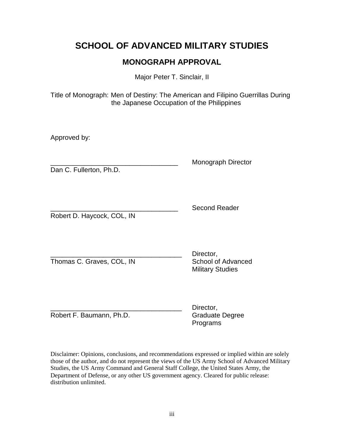# **SCHOOL OF ADVANCED MILITARY STUDIES**

## **MONOGRAPH APPROVAL**

Major Peter T. Sinclair, II

Title of Monograph: Men of Destiny: The American and Filipino Guerrillas During the Japanese Occupation of the Philippines

Approved by:

Dan C. Fullerton, Ph.D.

\_\_\_\_\_\_\_\_\_\_\_\_\_\_\_\_\_\_\_\_\_\_\_\_\_\_\_\_\_\_\_\_\_\_ Monograph Director

Robert D. Haycock, COL, IN

Second Reader

Thomas C. Graves, COL, IN School of Advanced

Director, Military Studies

Robert F. Baumann, Ph.D. Graduate Degree

Director, Programs

Disclaimer: Opinions, conclusions, and recommendations expressed or implied within are solely those of the author, and do not represent the views of the US Army School of Advanced Military Studies, the US Army Command and General Staff College, the United States Army, the Department of Defense, or any other US government agency. Cleared for public release: distribution unlimited.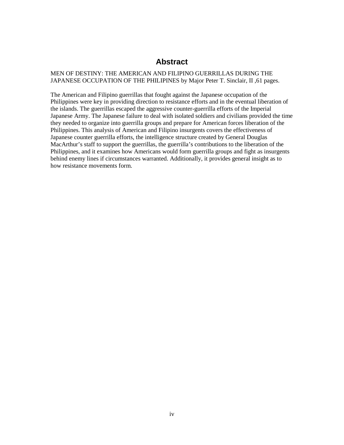### **Abstract**

#### MEN OF DESTINY: THE AMERICAN AND FILIPINO GUERRILLAS DURING THE JAPANESE OCCUPATION OF THE PHILIPINES by Major Peter T. Sinclair, II ,61 pages.

The American and Filipino guerrillas that fought against the Japanese occupation of the Philippines were key in providing direction to resistance efforts and in the eventual liberation of the islands. The guerrillas escaped the aggressive counter-guerrilla efforts of the Imperial Japanese Army. The Japanese failure to deal with isolated soldiers and civilians provided the time they needed to organize into guerrilla groups and prepare for American forces liberation of the Philippines. This analysis of American and Filipino insurgents covers the effectiveness of Japanese counter guerrilla efforts, the intelligence structure created by General Douglas MacArthur's staff to support the guerrillas, the guerrilla's contributions to the liberation of the Philippines, and it examines how Americans would form guerrilla groups and fight as insurgents behind enemy lines if circumstances warranted. Additionally, it provides general insight as to how resistance movements form.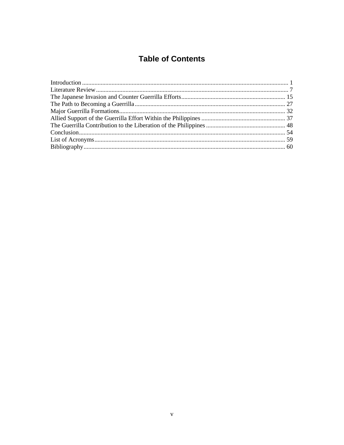## **Table of Contents**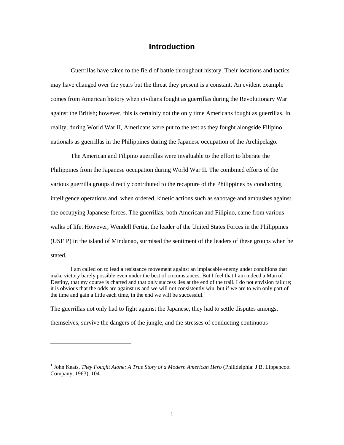#### **Introduction**

Guerrillas have taken to the field of battle throughout history. Their locations and tactics may have changed over the years but the threat they present is a constant. An evident example comes from American history when civilians fought as guerrillas during the Revolutionary War against the British; however, this is certainly not the only time Americans fought as guerrillas. In reality, during World War II, Americans were put to the test as they fought alongside Filipino nationals as guerrillas in the Philippines during the Japanese occupation of the Archipelago.

The American and Filipino guerrillas were invaluable to the effort to liberate the Philippines from the Japanese occupation during World War II. The combined efforts of the various guerrilla groups directly contributed to the recapture of the Philippines by conducting intelligence operations and, when ordered, kinetic actions such as sabotage and ambushes against the occupying Japanese forces. The guerrillas, both American and Filipino, came from various walks of life. However, Wendell Fertig, the leader of the United States Forces in the Philippines (USFIP) in the island of Mindanao, surmised the sentiment of the leaders of these groups when he stated,

I am called on to lead a resistance movement against an implacable enemy under conditions that make victory barely possible even under the best of circumstances. But I feel that I am indeed a Man of Destiny, that my course is charted and that only success lies at the end of the trail. I do not envision failure; it is obvious that the odds are against us and we will not consistently win, but if we are to win only part of the time and gain a little each time, in the end we will be successful.<sup>1</sup>

The guerrillas not only had to fight against the Japanese, they had to settle disputes amongst themselves, survive the dangers of the jungle, and the stresses of conducting continuous

<sup>&</sup>lt;sup>1</sup> John Keats, *They Fought Alone: A True Story of a Modern American Hero* (Philidelphia: J.B. Lippencott Company, 1963), 104.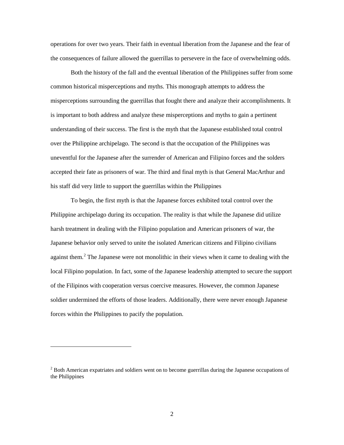operations for over two years. Their faith in eventual liberation from the Japanese and the fear of the consequences of failure allowed the guerrillas to persevere in the face of overwhelming odds.

Both the history of the fall and the eventual liberation of the Philippines suffer from some common historical misperceptions and myths. This monograph attempts to address the misperceptions surrounding the guerrillas that fought there and analyze their accomplishments. It is important to both address and analyze these misperceptions and myths to gain a pertinent understanding of their success. The first is the myth that the Japanese established total control over the Philippine archipelago. The second is that the occupation of the Philippines was uneventful for the Japanese after the surrender of American and Filipino forces and the solders accepted their fate as prisoners of war. The third and final myth is that General MacArthur and his staff did very little to support the guerrillas within the Philippines

To begin, the first myth is that the Japanese forces exhibited total control over the Philippine archipelago during its occupation. The reality is that while the Japanese did utilize harsh treatment in dealing with the Filipino population and American prisoners of war, the Japanese behavior only served to unite the isolated American citizens and Filipino civilians against them.<sup>2</sup> The Japanese were not monolithic in their views when it came to dealing with the local Filipino population. In fact, some of the Japanese leadership attempted to secure the support of the Filipinos with cooperation versus coercive measures. However, the common Japanese soldier undermined the efforts of those leaders. Additionally, there were never enough Japanese forces within the Philippines to pacify the population.

 $2$  Both American expatriates and soldiers went on to become guerrillas during the Japanese occupations of the Philippines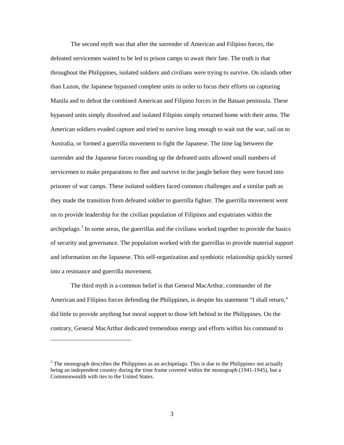The second myth was that after the surrender of American and Filipino forces, the defeated servicemen waited to be led to prison camps to await their fate. The truth is that throughout the Philippines, isolated soldiers and civilians were trying to survive. On islands other than Luzon, the Japanese bypassed complete units in order to focus their efforts on capturing Manila and to defeat the combined American and Filipino forces in the Bataan peninsula. These bypassed units simply dissolved and isolated Filipino simply returned home with their arms. The American soldiers evaded capture and tried to survive long enough to wait out the war, sail on to Australia, or formed a guerrilla movement to fight the Japanese. The time lag between the surrender and the Japanese forces rounding up the defeated units allowed small numbers of servicemen to make preparations to flee and survive in the jungle before they were forced into prisoner of war camps. These isolated soldiers faced common challenges and a similar path as they made the transition from defeated soldier to guerrilla fighter. The guerrilla movement went on to provide leadership for the civilian population of Filipinos and expatriates within the archipelago.<sup>3</sup> In some areas, the guerrillas and the civilians worked together to provide the basics of security and governance. The population worked with the guerrillas to provide material support and information on the Japanese. This self-organization and symbiotic relationship quickly turned into a resistance and guerrilla movement.

The third myth is a common belief is that General MacArthur, commander of the American and Filipino forces defending the Philippines, is despite his statement "I shall return," did little to provide anything but moral support to those left behind in the Philippines. On the contrary, General MacArthur dedicated tremendous energy and efforts within his command to

 $3$  The monograph describes the Philippines as an archipelago. This is due to the Philippines not actually being an independent country during the time frame covered within the monograph (1941-1945), but a Commonwealth with ties to the United States.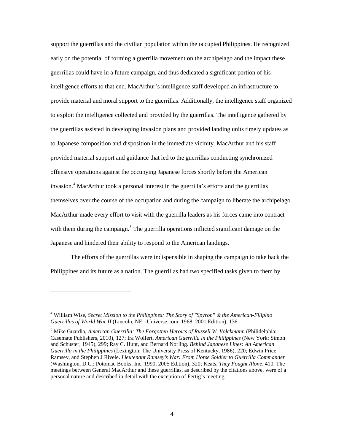support the guerrillas and the civilian population within the occupied Philippines. He recognized early on the potential of forming a guerrilla movement on the archipelago and the impact these guerrillas could have in a future campaign, and thus dedicated a significant portion of his intelligence efforts to that end. MacArthur's intelligence staff developed an infrastructure to provide material and moral support to the guerrillas. Additionally, the intelligence staff organized to exploit the intelligence collected and provided by the guerrillas. The intelligence gathered by the guerrillas assisted in developing invasion plans and provided landing units timely updates as to Japanese composition and disposition in the immediate vicinity. MacArthur and his staff provided material support and guidance that led to the guerrillas conducting synchronized offensive operations against the occupying Japanese forces shortly before the American invasion.<sup>4</sup> MacArthur took a personal interest in the guerrilla's efforts and the guerrillas themselves over the course of the occupation and during the campaign to liberate the archipelago. MacArthur made every effort to visit with the guerrilla leaders as his forces came into contract with them during the campaign.<sup>5</sup> The guerrilla operations inflicted significant damage on the Japanese and hindered their ability to respond to the American landings.

The efforts of the guerrillas were indispensible in shaping the campaign to take back the Philippines and its future as a nation. The guerrillas had two specified tasks given to them by

<sup>4</sup> William Wise, *Secret Mission to the Philippines: The Story of "Spyron" & the American-Filipino Guerrillas of World War II* (Lincoln, NE: iUniverse.com, 1968, 2001 Edition), 136.

<sup>5</sup> Mike Guardia, *American Guerrilla: The Forgotten Heroics of Russell W. Volckmann* (Philidelphia: Casemate Publishers, 2010), 127; Ira Wolfert, *American Guerrilla in the Philippines* (New York: Simon and Schuster, 1945), 299; Ray C. Hunt, and Bernard Norling. *Behind Japanese Lines: An American Guerrilla in the Philippines* (Lexington: The University Press of Kentucky, 1986), 220; Edwin Price Ramsey, and Stephen J Rivele. *Lieutenant Ramsey's War: From Horse Soldier to Guerrilla Commander* (Washington, D.C.: Potomac Books, Inc, 1990, 2005 Edition), 320; Keats, *They Fought Alone,* 410. The meetings between General MacArthur and these guerrillas, as described by the citations above, were of a personal nature and described in detail with the exception of Fertig's meeting.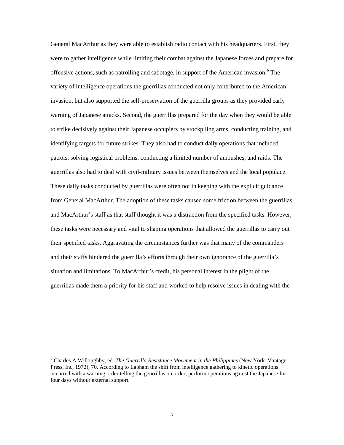General MacArthur as they were able to establish radio contact with his headquarters. First, they were to gather intelligence while limiting their combat against the Japanese forces and prepare for offensive actions, such as patrolling and sabotage, in support of the American invasion.<sup>6</sup> The variety of intelligence operations the guerrillas conducted not only contributed to the American invasion, but also supported the self-preservation of the guerrilla groups as they provided early warning of Japanese attacks. Second, the guerrillas prepared for the day when they would be able to strike decisively against their Japanese occupiers by stockpiling arms, conducting training, and identifying targets for future strikes. They also had to conduct daily operations that included patrols, solving logistical problems, conducting a limited number of ambushes, and raids. The guerrillas also had to deal with civil-military issues between themselves and the local populace. These daily tasks conducted by guerrillas were often not in keeping with the explicit guidance from General MacArthur. The adoption of these tasks caused some friction between the guerrillas and MacArthur's staff as that staff thought it was a distraction from the specified tasks. However, these tasks were necessary and vital to shaping operations that allowed the guerrillas to carry out their specified tasks. Aggravating the circumstances further was that many of the commanders and their staffs hindered the guerrilla's efforts through their own ignorance of the guerrilla's situation and limitations. To MacArthur's credit, his personal interest in the plight of the guerrillas made them a priority for his staff and worked to help resolve issues in dealing with the

<sup>6</sup> Charles A Willoughby, ed. *The Guerrilla Resistance Movement in the Philippines* (New York: Vantage Press, Inc, 1972), 70. According to Lapham the shift from intelligence gathering to kinetic operations occurred with a warning order telling the geurrillas on order, perform operations against the Japanese for four days withour external support.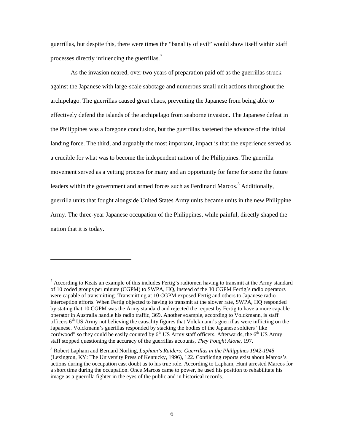guerrillas, but despite this, there were times the "banality of evil" would show itself within staff processes directly influencing the guerrillas.<sup>7</sup>

As the invasion neared, over two years of preparation paid off as the guerrillas struck against the Japanese with large-scale sabotage and numerous small unit actions throughout the archipelago. The guerrillas caused great chaos, preventing the Japanese from being able to effectively defend the islands of the archipelago from seaborne invasion. The Japanese defeat in the Philippines was a foregone conclusion, but the guerrillas hastened the advance of the initial landing force. The third, and arguably the most important, impact is that the experience served as a crucible for what was to become the independent nation of the Philippines. The guerrilla movement served as a vetting process for many and an opportunity for fame for some the future leaders within the government and armed forces such as Ferdinand Marcos.<sup>8</sup> Additionally, guerrilla units that fought alongside United States Army units became units in the new Philippine Army. The three-year Japanese occupation of the Philippines, while painful, directly shaped the nation that it is today.

<sup>&</sup>lt;sup>7</sup> According to Keats an example of this includes Fertig's radiomen having to transmit at the Army standard of 10 coded groups per minute (CGPM) to SWPA, HQ, instead of the 30 CGPM Fertig's radio operators were capable of transmitting. Transmitting at 10 CGPM exposed Fertig and others to Japanese radio interception efforts. When Fertig objected to having to transmit at the slower rate, SWPA, HQ responded by stating that 10 CGPM was the Army standard and rejected the request by Fertig to have a more capable operator in Australia handle his radio traffic, 369. Another example, according to Volckmann, is staff officers  $6<sup>th</sup>$  US Army not believing the causality figures that Volckmann's guerrillas were inflicting on the Japanese. Volckmann's guerillas responded by stacking the bodies of the Japanese soldiers "like cordwood" so they could be easily counted by  $6<sup>th</sup>$  US Army staff officers. Afterwards, the  $6<sup>th</sup>$  US Army staff stopped questioning the accuracy of the guerrillas accounts, *They Fought Alone,* 197.

<sup>8</sup> Robert Lapham and Bernard Norling, *Lapham's Raiders: Guerrillas in the Philippines 1942-1945*  (Lexington, KY: The University Press of Kentucky, 1996), 122. Conflicting reports exist about Marcos's actions during the occupation cast doubt as to his true role. According to Lapham, Hunt arrested Marcos for a short time during the occupation. Once Marcos came to power, he used his position to rehabilitate his image as a guerrilla fighter in the eyes of the public and in historical records.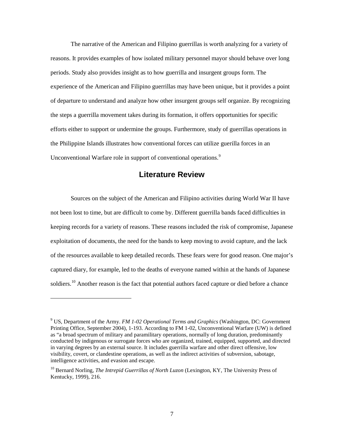The narrative of the American and Filipino guerrillas is worth analyzing for a variety of reasons. It provides examples of how isolated military personnel mayor should behave over long periods. Study also provides insight as to how guerrilla and insurgent groups form. The experience of the American and Filipino guerrillas may have been unique, but it provides a point of departure to understand and analyze how other insurgent groups self organize. By recognizing the steps a guerrilla movement takes during its formation, it offers opportunities for specific efforts either to support or undermine the groups. Furthermore, study of guerrillas operations in the Philippine Islands illustrates how conventional forces can utilize guerilla forces in an Unconventional Warfare role in support of conventional operations.<sup>9</sup>

#### **Literature Review**

Sources on the subject of the American and Filipino activities during World War II have not been lost to time, but are difficult to come by. Different guerrilla bands faced difficulties in keeping records for a variety of reasons. These reasons included the risk of compromise, Japanese exploitation of documents, the need for the bands to keep moving to avoid capture, and the lack of the resources available to keep detailed records. These fears were for good reason. One major's captured diary, for example, led to the deaths of everyone named within at the hands of Japanese soldiers.<sup>10</sup> Another reason is the fact that potential authors faced capture or died before a chance

<sup>9</sup> US, Department of the Army. *FM 1-02 Operational Terms and Graphics* (Washington, DC: Government Printing Office, September 2004), 1-193. According to FM 1-02, Unconventional Warfare (UW) is defined as "a broad spectrum of military and paramilitary operations, normally of long duration, predominantly conducted by indigenous or surrogate forces who are organized, trained, equipped, supported, and directed in varying degrees by an external source. It includes guerrilla warfare and other direct offensive, low visibility, covert, or clandestine operations, as well as the indirect activities of subversion, sabotage, intelligence activities, and evasion and escape.

<sup>10</sup> Bernard Norling, *The Intrepid Guerrillas of North Luzon* (Lexington, KY, The University Press of Kentucky, 1999), 216.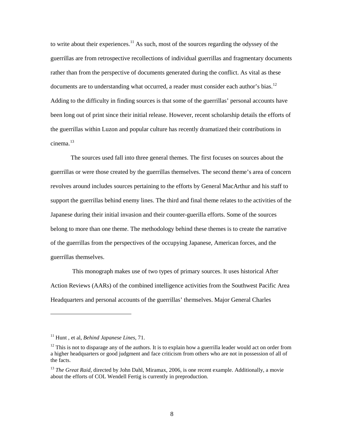to write about their experiences.<sup>11</sup> As such, most of the sources regarding the odyssey of the guerrillas are from retrospective recollections of individual guerrillas and fragmentary documents rather than from the perspective of documents generated during the conflict. As vital as these documents are to understanding what occurred, a reader must consider each author's bias.<sup>12</sup> Adding to the difficulty in finding sources is that some of the guerrillas' personal accounts have been long out of print since their initial release. However, recent scholarship details the efforts of the guerrillas within Luzon and popular culture has recently dramatized their contributions in  $c$ inema $13$ 

The sources used fall into three general themes. The first focuses on sources about the guerrillas or were those created by the guerrillas themselves. The second theme's area of concern revolves around includes sources pertaining to the efforts by General MacArthur and his staff to support the guerrillas behind enemy lines. The third and final theme relates to the activities of the Japanese during their initial invasion and their counter-guerilla efforts. Some of the sources belong to more than one theme. The methodology behind these themes is to create the narrative of the guerrillas from the perspectives of the occupying Japanese, American forces, and the guerrillas themselves.

This monograph makes use of two types of primary sources. It uses historical After Action Reviews (AARs) of the combined intelligence activities from the Southwest Pacific Area Headquarters and personal accounts of the guerrillas' themselves. Major General Charles

<sup>11</sup> Hunt , et al, *Behind Japanese Lines,* 71.

 $12$  This is not to disparage any of the authors. It is to explain how a guerrilla leader would act on order from a higher headquarters or good judgment and face criticism from others who are not in possession of all of the facts.

<sup>&</sup>lt;sup>13</sup> *The Great Raid,* directed by John Dahl, Miramax, 2006, is one recent example. Additionally, a movie about the efforts of COL Wendell Fertig is currently in preproduction.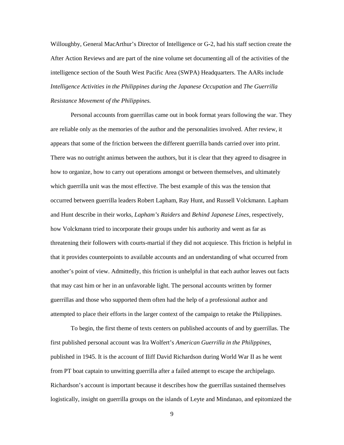Willoughby, General MacArthur's Director of Intelligence or G-2, had his staff section create the After Action Reviews and are part of the nine volume set documenting all of the activities of the intelligence section of the South West Pacific Area (SWPA) Headquarters. The AARs include *Intelligence Activities in the Philippines during the Japanese Occupation* and *The Guerrilla Resistance Movement of the Philippines.* 

Personal accounts from guerrillas came out in book format years following the war. They are reliable only as the memories of the author and the personalities involved. After review, it appears that some of the friction between the different guerrilla bands carried over into print. There was no outright animus between the authors, but it is clear that they agreed to disagree in how to organize, how to carry out operations amongst or between themselves, and ultimately which guerrilla unit was the most effective. The best example of this was the tension that occurred between guerrilla leaders Robert Lapham, Ray Hunt, and Russell Volckmann. Lapham and Hunt describe in their works, *Lapham's Raiders* and *Behind Japanese Lines,* respectively, how Volckmann tried to incorporate their groups under his authority and went as far as threatening their followers with courts-martial if they did not acquiesce. This friction is helpful in that it provides counterpoints to available accounts and an understanding of what occurred from another's point of view. Admittedly, this friction is unhelpful in that each author leaves out facts that may cast him or her in an unfavorable light. The personal accounts written by former guerrillas and those who supported them often had the help of a professional author and attempted to place their efforts in the larger context of the campaign to retake the Philippines.

To begin, the first theme of texts centers on published accounts of and by guerrillas. The first published personal account was Ira Wolfert's *American Guerrilla in the Philippines,* published in 1945. It is the account of Iliff David Richardson during World War II as he went from PT boat captain to unwitting guerrilla after a failed attempt to escape the archipelago. Richardson's account is important because it describes how the guerrillas sustained themselves logistically, insight on guerrilla groups on the islands of Leyte and Mindanao, and epitomized the

9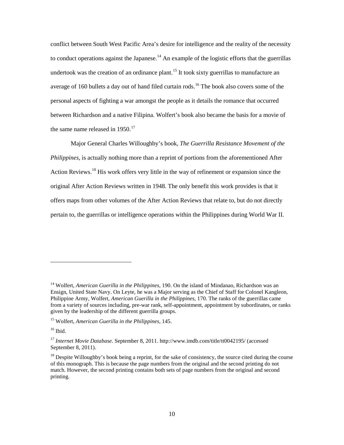conflict between South West Pacific Area's desire for intelligence and the reality of the necessity to conduct operations against the Japanese.<sup>14</sup> An example of the logistic efforts that the guerrillas undertook was the creation of an ordinance plant.<sup>15</sup> It took sixty guerrillas to manufacture an average of 160 bullets a day out of hand filed curtain rods.<sup>16</sup> The book also covers some of the personal aspects of fighting a war amongst the people as it details the romance that occurred between Richardson and a native Filipina. Wolfert's book also became the basis for a movie of the same name released in  $1950.<sup>17</sup>$ 

Major General Charles Willoughby's book, *The Guerrilla Resistance Movement of the Philippines*, is actually nothing more than a reprint of portions from the aforementioned After Action Reviews.<sup>18</sup> His work offers very little in the way of refinement or expansion since the original After Action Reviews written in 1948. The only benefit this work provides is that it offers maps from other volumes of the After Action Reviews that relate to, but do not directly pertain to, the guerrillas or intelligence operations within the Philippines during World War II.

<sup>14</sup> Wolfert, *American Guerilla in the Philippines,* 190. On the island of Mindanao, Richardson was an Ensign, United State Navy. On Leyte, he was a Major serving as the Chief of Staff for Colonel Kangleon, Philippine Army, Wolfert, *American Guerilla in the Philippines,* 170. The ranks of the guerrillas came from a variety of sources including, pre-war rank, self-appointment, appointment by subordinates, or ranks given by the leadership of the different guerrilla groups.

<sup>15</sup> Wolfert, *American Guerilla in the Philippines,* 145.

 $16$  Ibid.

<sup>17</sup> *Internet Movie Database.* September 8, 2011. http://www.imdb.com/title/tt0042195/ (accessed September 8, 2011).

 $<sup>18</sup>$  Despite Willoughby's book being a reprint, for the sake of consistency, the source cited during the course</sup> of this monograph. This is because the page numbers from the original and the second printing do not match. However, the second printing contains both sets of page numbers from the original and second printing.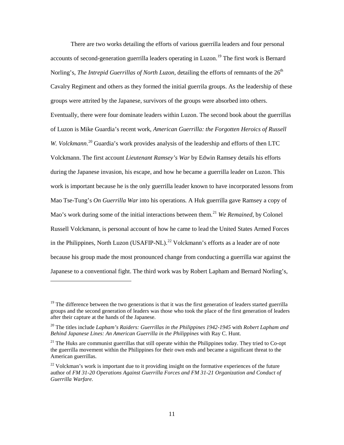There are two works detailing the efforts of various guerrilla leaders and four personal accounts of second-generation guerrilla leaders operating in Luzon.<sup>19</sup> The first work is Bernard Norling's, *The Intrepid Guerrillas of North Luzon*, detailing the efforts of remnants of the 26<sup>th</sup> Cavalry Regiment and others as they formed the initial guerrila groups. As the leadership of these groups were attrited by the Japanese*,* survivors of the groups were absorbed into others. Eventually, there were four dominate leaders within Luzon. The second book about the guerrillas of Luzon is Mike Guardia's recent work, *American Guerrilla: the Forgotten Heroics of Russell*  W. Volckmann.<sup>20</sup> Guardia's work provides analysis of the leadership and efforts of then LTC Volckmann. The first account *Lieutenant Ramsey's War* by Edwin Ramsey details his efforts during the Japanese invasion, his escape, and how he became a guerrilla leader on Luzon. This work is important because he is the only guerrilla leader known to have incorporated lessons from Mao Tse-Tung's *On Guerrilla War* into his operations*.* A Huk guerrilla gave Ramsey a copy of Mao's work during some of the initial interactions between them.<sup>21</sup> *We Remained*, by Colonel Russell Volckmann, is personal account of how he came to lead the United States Armed Forces in the Philippines, North Luzon (USAFIP-NL).<sup>22</sup> Volckmann's efforts as a leader are of note because his group made the most pronounced change from conducting a guerrilla war against the Japanese to a conventional fight. The third work was by Robert Lapham and Bernard Norling's,

<sup>&</sup>lt;sup>19</sup> The difference between the two generations is that it was the first generation of leaders started guerrilla groups and the second generation of leaders was those who took the place of the first generation of leaders after their capture at the hands of the Japanese.

<sup>20</sup> The titles include *Lapham's Raiders: Guerrillas in the Philippines 1942-1945* with *Robert Lapham and Behind Japanese Lines: An American Guerrilla in the Philippines* with Ray C. Hunt.

 $21$  The Huks are communist guerrillas that still operate within the Philippines today. They tried to Co-opt the guerrilla movement within the Philippines for their own ends and became a significant threat to the American guerrillas.

 $22$  Volckman's work is important due to it providing insight on the formative experiences of the future author of *FM 31-20 Operations Against Guerrilla Forces and FM 31-21 Organization and Conduct of Guerrilla Warfare.*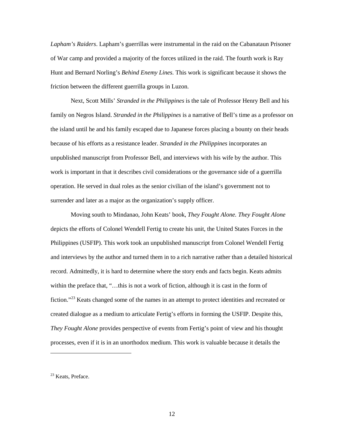*Lapham's Raiders*. Lapham's guerrillas were instrumental in the raid on the Cabanataun Prisoner of War camp and provided a majority of the forces utilized in the raid. The fourth work is Ray Hunt and Bernard Norling's *Behind Enemy Lines.* This work is significant because it shows the friction between the different guerrilla groups in Luzon.

Next, Scott Mills' *Stranded in the Philippines* is the tale of Professor Henry Bell and his family on Negros Island. *Stranded in the Philippines* is a narrative of Bell's time as a professor on the island until he and his family escaped due to Japanese forces placing a bounty on their heads because of his efforts as a resistance leader. *Stranded in the Philippines* incorporates an unpublished manuscript from Professor Bell, and interviews with his wife by the author. This work is important in that it describes civil considerations or the governance side of a guerrilla operation. He served in dual roles as the senior civilian of the island's government not to surrender and later as a major as the organization's supply officer.

Moving south to Mindanao, John Keats' book, *They Fought Alone. They Fought Alone* depicts the efforts of Colonel Wendell Fertig to create his unit, the United States Forces in the Philippines (USFIP). This work took an unpublished manuscript from Colonel Wendell Fertig and interviews by the author and turned them in to a rich narrative rather than a detailed historical record. Admittedly, it is hard to determine where the story ends and facts begin. Keats admits within the preface that, "...this is not a work of fiction, although it is cast in the form of fiction."<sup>23</sup> Keats changed some of the names in an attempt to protect identities and recreated or created dialogue as a medium to articulate Fertig's efforts in forming the USFIP. Despite this, *They Fought Alone* provides perspective of events from Fertig's point of view and his thought processes, even if it is in an unorthodox medium. This work is valuable because it details the

 $\overline{a}$ 

12

<sup>&</sup>lt;sup>23</sup> Keats, Preface.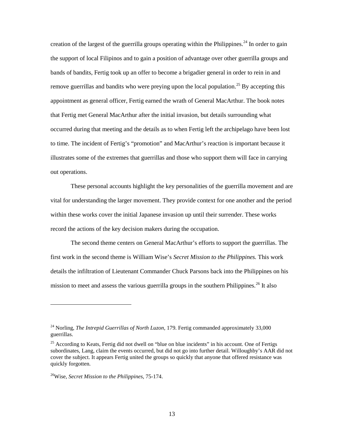creation of the largest of the guerrilla groups operating within the Philippines.<sup>24</sup> In order to gain the support of local Filipinos and to gain a position of advantage over other guerrilla groups and bands of bandits, Fertig took up an offer to become a brigadier general in order to rein in and remove guerrillas and bandits who were preying upon the local population.<sup>25</sup> By accepting this appointment as general officer, Fertig earned the wrath of General MacArthur. The book notes that Fertig met General MacArthur after the initial invasion, but details surrounding what occurred during that meeting and the details as to when Fertig left the archipelago have been lost to time. The incident of Fertig's "promotion" and MacArthur's reaction is important because it illustrates some of the extremes that guerrillas and those who support them will face in carrying out operations.

These personal accounts highlight the key personalities of the guerrilla movement and are vital for understanding the larger movement. They provide context for one another and the period within these works cover the initial Japanese invasion up until their surrender. These works record the actions of the key decision makers during the occupation.

The second theme centers on General MacArthur's efforts to support the guerrillas. The first work in the second theme is William Wise's *Secret Mission to the Philippines.* This work details the infiltration of Lieutenant Commander Chuck Parsons back into the Philippines on his mission to meet and assess the various guerrilla groups in the southern Philippines.<sup>26</sup> It also

<sup>&</sup>lt;sup>24</sup> Norling, *The Intrepid Guerrillas of North Luzon*, 179. Fertig commanded approximately 33,000 guerrillas.

 $25$  According to Keats, Fertig did not dwell on "blue on blue incidents" in his account. One of Fertigs subordinates, Lang, claim the events occurred, but did not go into further detail. Willoughby's AAR did not cover the subject. It appears Fertig united the groups so quickly that anyone that offered resistance was quickly forgotten.

<sup>26</sup>Wise, *Secret Mission to the Philippines,* 75-174.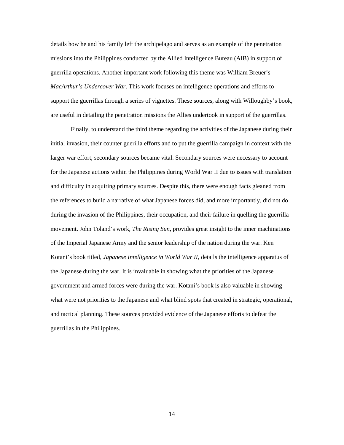details how he and his family left the archipelago and serves as an example of the penetration missions into the Philippines conducted by the Allied Intelligence Bureau (AIB) in support of guerrilla operations. Another important work following this theme was William Breuer's *MacArthur's Undercover War*. This work focuses on intelligence operations and efforts to support the guerrillas through a series of vignettes. These sources, along with Willoughby's book, are useful in detailing the penetration missions the Allies undertook in support of the guerrillas.

Finally, to understand the third theme regarding the activities of the Japanese during their initial invasion, their counter guerilla efforts and to put the guerrilla campaign in context with the larger war effort, secondary sources became vital. Secondary sources were necessary to account for the Japanese actions within the Philippines during World War II due to issues with translation and difficulty in acquiring primary sources. Despite this, there were enough facts gleaned from the references to build a narrative of what Japanese forces did, and more importantly, did not do during the invasion of the Philippines, their occupation, and their failure in quelling the guerrilla movement. John Toland's work, *The Rising Sun,* provides great insight to the inner machinations of the Imperial Japanese Army and the senior leadership of the nation during the war. Ken Kotani's book titled, *Japanese Intelligence in World War II*, details the intelligence apparatus of the Japanese during the war. It is invaluable in showing what the priorities of the Japanese government and armed forces were during the war. Kotani's book is also valuable in showing what were not priorities to the Japanese and what blind spots that created in strategic, operational, and tactical planning. These sources provided evidence of the Japanese efforts to defeat the guerrillas in the Philippines.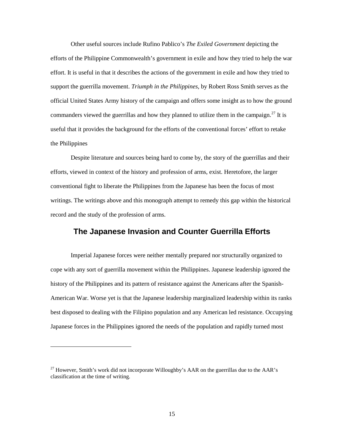Other useful sources include Rufino Pablico's *The Exiled Government* depicting the efforts of the Philippine Commonwealth's government in exile and how they tried to help the war effort. It is useful in that it describes the actions of the government in exile and how they tried to support the guerrilla movement. *Triumph in the Philippines,* by Robert Ross Smith serves as the official United States Army history of the campaign and offers some insight as to how the ground commanders viewed the guerrillas and how they planned to utilize them in the campaign.<sup>27</sup> It is useful that it provides the background for the efforts of the conventional forces' effort to retake the Philippines

Despite literature and sources being hard to come by, the story of the guerrillas and their efforts, viewed in context of the history and profession of arms, exist. Heretofore, the larger conventional fight to liberate the Philippines from the Japanese has been the focus of most writings. The writings above and this monograph attempt to remedy this gap within the historical record and the study of the profession of arms.

#### **The Japanese Invasion and Counter Guerrilla Efforts**

Imperial Japanese forces were neither mentally prepared nor structurally organized to cope with any sort of guerrilla movement within the Philippines. Japanese leadership ignored the history of the Philippines and its pattern of resistance against the Americans after the Spanish-American War. Worse yet is that the Japanese leadership marginalized leadership within its ranks best disposed to dealing with the Filipino population and any American led resistance. Occupying Japanese forces in the Philippines ignored the needs of the population and rapidly turned most

<sup>&</sup>lt;sup>27</sup> However, Smith's work did not incorporate Willoughby's AAR on the guerrillas due to the AAR's classification at the time of writing.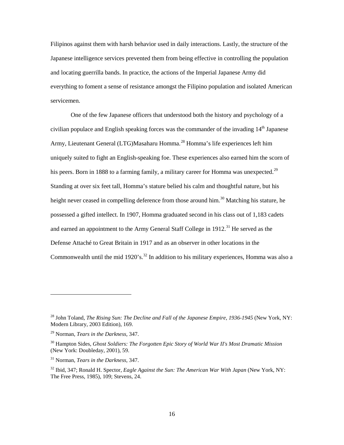Filipinos against them with harsh behavior used in daily interactions. Lastly, the structure of the Japanese intelligence services prevented them from being effective in controlling the population and locating guerrilla bands. In practice, the actions of the Imperial Japanese Army did everything to foment a sense of resistance amongst the Filipino population and isolated American servicemen.

One of the few Japanese officers that understood both the history and psychology of a civilian populace and English speaking forces was the commander of the invading  $14<sup>th</sup>$  Japanese Army, Lieutenant General (LTG)Masaharu Homma.<sup>28</sup> Homma's life experiences left him uniquely suited to fight an English-speaking foe. These experiences also earned him the scorn of his peers. Born in 1888 to a farming family, a military career for Homma was unexpected.<sup>29</sup> Standing at over six feet tall, Homma's stature belied his calm and thoughtful nature, but his height never ceased in compelling deference from those around him.<sup>30</sup> Matching his stature, he possessed a gifted intellect. In 1907, Homma graduated second in his class out of 1,183 cadets and earned an appointment to the Army General Staff College in  $1912$ <sup>31</sup>. He served as the Defense Attaché to Great Britain in 1917 and as an observer in other locations in the Commonwealth until the mid 1920's.<sup>32</sup> In addition to his military experiences, Homma was also a

<sup>&</sup>lt;sup>28</sup> John Toland, *The Rising Sun: The Decline and Fall of the Japanese Empire, 1936-1945* (New York, NY: Modern Library, 2003 Edition), 169.

<sup>29</sup> Norman, *Tears in the Darkness,* 347.

<sup>30</sup> Hampton Sides, *Ghost Soldiers: The Forgotten Epic Story of World War II's Most Dramatic Mission*  (New York: Doubleday, 2001), 59.

<sup>31</sup> Norman, *Tears in the Darkness,* 347.

<sup>32</sup> Ibid, 347; Ronald H. Spector, *Eagle Against the Sun: The American War With Japan* (New York, NY: The Free Press, 1985), 109; Stevens, 24.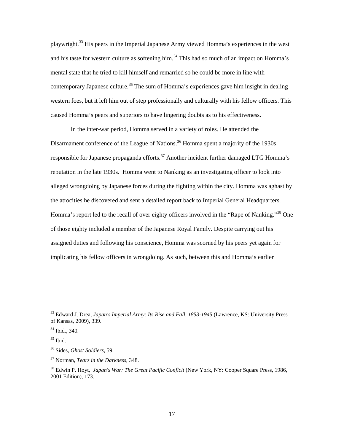playwright.<sup>33</sup> His peers in the Imperial Japanese Army viewed Homma's experiences in the west and his taste for western culture as softening him.<sup>34</sup> This had so much of an impact on Homma's mental state that he tried to kill himself and remarried so he could be more in line with contemporary Japanese culture.<sup>35</sup> The sum of Homma's experiences gave him insight in dealing western foes, but it left him out of step professionally and culturally with his fellow officers. This caused Homma's peers and superiors to have lingering doubts as to his effectiveness.

In the inter-war period, Homma served in a variety of roles. He attended the Disarmament conference of the League of Nations.<sup>36</sup> Homma spent a majority of the 1930s responsible for Japanese propaganda efforts.<sup>37</sup> Another incident further damaged LTG Homma's reputation in the late 1930s. Homma went to Nanking as an investigating officer to look into alleged wrongdoing by Japanese forces during the fighting within the city. Homma was aghast by the atrocities he discovered and sent a detailed report back to Imperial General Headquarters. Homma's report led to the recall of over eighty officers involved in the "Rape of Nanking."<sup>38</sup> One of those eighty included a member of the Japanese Royal Family. Despite carrying out his assigned duties and following his conscience, Homma was scorned by his peers yet again for implicating his fellow officers in wrongdoing. As such, between this and Homma's earlier

<sup>33</sup> Edward J. Drea, *Japan's Imperial Army: Its Rise and Fall, 1853-1945* (Lawrence, KS: University Press of Kansas, 2009), 339.

 $34$  Ibid., 340.

 $35$  Ibid.

<sup>36</sup> Sides, *Ghost Soldiers,* 59.

<sup>37</sup> Norman, *Tears in the Darkness*, 348.

<sup>38</sup> Edwin P. Hoyt, *Japan's War: The Great Pacific Conflcit* (New York, NY: Cooper Square Press, 1986, 2001 Edition), 173.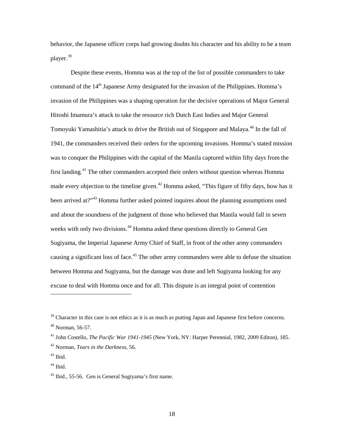behavior, the Japanese officer corps had growing doubts his character and his ability to be a team player.<sup>39</sup>

Despite these events, Homma was at the top of the list of possible commanders to take command of the  $14<sup>th</sup>$  Japanese Army designated for the invasion of the Philippines. Homma's invasion of the Philippines was a shaping operation for the decisive operations of Major General Hitoshi Imamura's attack to take the resource rich Dutch East Indies and Major General Tomoyuki Yamashitia's attack to drive the British out of Singapore and Malaya.<sup>40</sup> In the fall of 1941, the commanders received their orders for the upcoming invasions. Homma's stated mission was to conquer the Philippines with the capital of the Manila captured within fifty days from the first landing.<sup>41</sup> The other commanders accepted their orders without question whereas Homma made every objection to the timeline given.<sup>42</sup> Homma asked, "This figure of fifty days, how has it been arrived at?"<sup>43</sup> Homma further asked pointed inquires about the planning assumptions used and about the soundness of the judgment of those who believed that Manila would fall in seven weeks with only two divisions.<sup>44</sup> Homma asked these questions directly to General Gen Sugiyama, the Imperial Japanese Army Chief of Staff, in front of the other army commanders causing a significant loss of face.<sup>45</sup> The other army commanders were able to defuse the situation between Homma and Sugiyama, but the damage was done and left Sugiyama looking for any excuse to deal with Homma once and for all. This dispute is an integral point of contention

<sup>&</sup>lt;sup>39</sup> Character in this case is not ethics as it is as much as putting Japan and Japanese first before concerns. <sup>40</sup> Norman, 56-57.

<sup>41</sup> John Costello, *The Pacific War 1941-1945* (New York, NY: Harper Perennial, 1982, 2009 Editon), 185. <sup>42</sup> Norman, *Tears in the Darkness,* 56.

 $43$  Ibid.

<sup>&</sup>lt;sup>44</sup> Ibid.

 $45$  Ibid., 55-56. Gen is General Sugiyama's first name.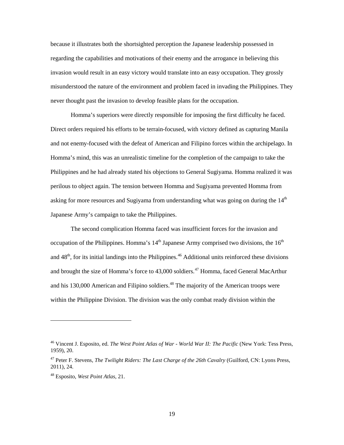because it illustrates both the shortsighted perception the Japanese leadership possessed in regarding the capabilities and motivations of their enemy and the arrogance in believing this invasion would result in an easy victory would translate into an easy occupation. They grossly misunderstood the nature of the environment and problem faced in invading the Philippines. They never thought past the invasion to develop feasible plans for the occupation.

Homma's superiors were directly responsible for imposing the first difficulty he faced. Direct orders required his efforts to be terrain-focused, with victory defined as capturing Manila and not enemy-focused with the defeat of American and Filipino forces within the archipelago. In Homma's mind, this was an unrealistic timeline for the completion of the campaign to take the Philippines and he had already stated his objections to General Sugiyama. Homma realized it was perilous to object again. The tension between Homma and Sugiyama prevented Homma from asking for more resources and Sugiyama from understanding what was going on during the 14<sup>th</sup> Japanese Army's campaign to take the Philippines.

The second complication Homma faced was insufficient forces for the invasion and occupation of the Philippines. Homma's  $14<sup>th</sup>$  Japanese Army comprised two divisions, the  $16<sup>th</sup>$ and  $48<sup>th</sup>$ , for its initial landings into the Philippines.<sup>46</sup> Additional units reinforced these divisions and brought the size of Homma's force to  $43,000$  soldiers.<sup>47</sup> Homma, faced General MacArthur and his 130,000 American and Filipino soldiers.<sup>48</sup> The majority of the American troops were within the Philippine Division. The division was the only combat ready division within the

<sup>46</sup> Vincent J. Esposito, ed. *The West Point Atlas of War - World War II: The Pacific* (New York: Tess Press, 1959), 20.

<sup>47</sup> Peter F. Stevens, *The Twilight Riders: The Last Charge of the 26th Cavalry* (Guilford, CN: Lyons Press, 2011), 24.

<sup>48</sup> Esposito, *West Point Atlas,* 21.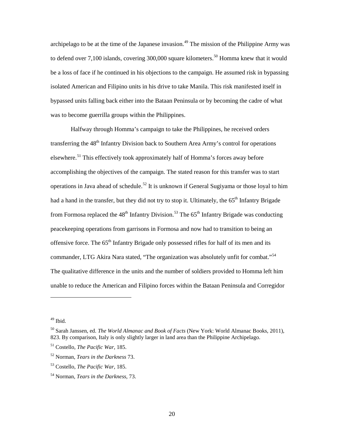archipelago to be at the time of the Japanese invasion.<sup>49</sup> The mission of the Philippine Army was to defend over 7,100 islands, covering 300,000 square kilometers.<sup>50</sup> Homma knew that it would be a loss of face if he continued in his objections to the campaign. He assumed risk in bypassing isolated American and Filipino units in his drive to take Manila. This risk manifested itself in bypassed units falling back either into the Bataan Peninsula or by becoming the cadre of what was to become guerrilla groups within the Philippines.

Halfway through Homma's campaign to take the Philippines, he received orders transferring the  $48<sup>th</sup>$  Infantry Division back to Southern Area Army's control for operations elsewhere.<sup>51</sup> This effectively took approximately half of Homma's forces away before accomplishing the objectives of the campaign. The stated reason for this transfer was to start operations in Java ahead of schedule.<sup>52</sup> It is unknown if General Sugiyama or those loyal to him had a hand in the transfer, but they did not try to stop it. Ultimately, the  $65<sup>th</sup>$  Infantry Brigade from Formosa replaced the  $48<sup>th</sup>$  Infantry Division.<sup>53</sup> The  $65<sup>th</sup>$  Infantry Brigade was conducting peacekeeping operations from garrisons in Formosa and now had to transition to being an offensive force. The 65<sup>th</sup> Infantry Brigade only possessed rifles for half of its men and its commander, LTG Akira Nara stated, "The organization was absolutely unfit for combat."<sup>54</sup> The qualitative difference in the units and the number of soldiers provided to Homma left him unable to reduce the American and Filipino forces within the Bataan Peninsula and Corregidor

 $49$  Ibid.

<sup>50</sup> Sarah Janssen, ed. *The World Almanac and Book of Facts* (New York: World Almanac Books, 2011), 823. By comparison, Italy is only slightly larger in land area than the Philippine Archipelago.

<sup>51</sup> Costello, *The Pacific War,* 185.

<sup>52</sup> Norman, *Tears in the Darkness* 73.

<sup>53</sup> Costello, *The Pacific War,* 185.

<sup>54</sup> Norman, *Tears in the Darkness,* 73.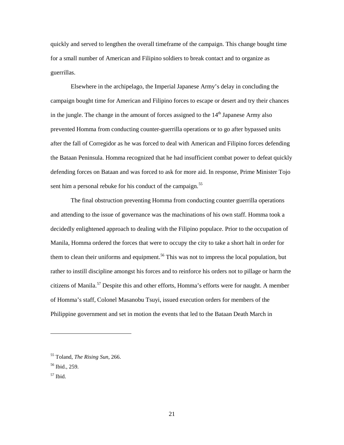quickly and served to lengthen the overall timeframe of the campaign. This change bought time for a small number of American and Filipino soldiers to break contact and to organize as guerrillas.

Elsewhere in the archipelago, the Imperial Japanese Army's delay in concluding the campaign bought time for American and Filipino forces to escape or desert and try their chances in the jungle. The change in the amount of forces assigned to the  $14<sup>th</sup>$  Japanese Army also prevented Homma from conducting counter-guerrilla operations or to go after bypassed units after the fall of Corregidor as he was forced to deal with American and Filipino forces defending the Bataan Peninsula. Homma recognized that he had insufficient combat power to defeat quickly defending forces on Bataan and was forced to ask for more aid. In response, Prime Minister Tojo sent him a personal rebuke for his conduct of the campaign.<sup>55</sup>

The final obstruction preventing Homma from conducting counter guerrilla operations and attending to the issue of governance was the machinations of his own staff. Homma took a decidedly enlightened approach to dealing with the Filipino populace. Prior to the occupation of Manila, Homma ordered the forces that were to occupy the city to take a short halt in order for them to clean their uniforms and equipment.<sup>56</sup> This was not to impress the local population, but rather to instill discipline amongst his forces and to reinforce his orders not to pillage or harm the citizens of Manila.<sup>57</sup> Despite this and other efforts, Homma's efforts were for naught. A member of Homma's staff, Colonel Masanobu Tsuyi, issued execution orders for members of the Philippine government and set in motion the events that led to the Bataan Death March in

<sup>55</sup> Toland, *The Rising Sun,* 266.

<sup>56</sup> Ibid.*,* 259.

<sup>57</sup> Ibid.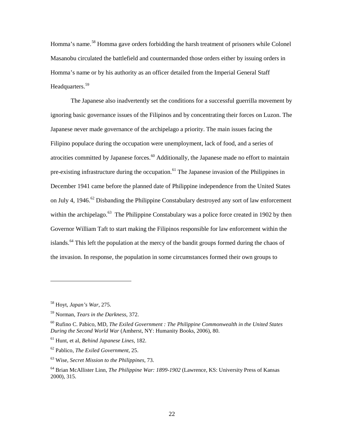Homma's name.<sup>58</sup> Homma gave orders forbidding the harsh treatment of prisoners while Colonel Masanobu circulated the battlefield and countermanded those orders either by issuing orders in Homma's name or by his authority as an officer detailed from the Imperial General Staff Headquarters.<sup>59</sup>

The Japanese also inadvertently set the conditions for a successful guerrilla movement by ignoring basic governance issues of the Filipinos and by concentrating their forces on Luzon. The Japanese never made governance of the archipelago a priority. The main issues facing the Filipino populace during the occupation were unemployment, lack of food, and a series of atrocities committed by Japanese forces.<sup>60</sup> Additionally, the Japanese made no effort to maintain pre-existing infrastructure during the occupation.<sup>61</sup> The Japanese invasion of the Philippines in December 1941 came before the planned date of Philippine independence from the United States on July 4, 1946.<sup>62</sup> Disbanding the Philippine Constabulary destroyed any sort of law enforcement within the archipelago.<sup>63</sup> The Philippine Constabulary was a police force created in 1902 by then Governor William Taft to start making the Filipinos responsible for law enforcement within the islands.<sup>64</sup> This left the population at the mercy of the bandit groups formed during the chaos of the invasion. In response, the population in some circumstances formed their own groups to

<sup>58</sup> Hoyt, *Japan's War,* 275.

<sup>59</sup> Norman, *Tears in the Darkness,* 372.

<sup>60</sup> Rufino C. Pabico, MD, *The Exiled Government : The Philippine Commonwealth in the United States During the Second World War* (Amherst, NY: Humanity Books, 2006), 80.

<sup>61</sup> Hunt, et al, *Behind Japanese Lines,* 182.

<sup>62</sup> Pablico, *The Exiled Government,* 25.

<sup>63</sup> Wise, *Secret Mission to the Philippines,* 73.

<sup>64</sup> Brian McAllister Linn, *The Philippine War: 1899-1902* (Lawrence, KS: University Press of Kansas 2000), 315.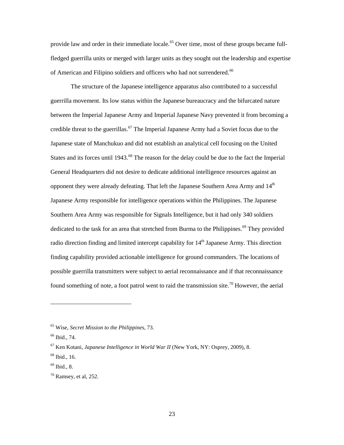provide law and order in their immediate locale.<sup>65</sup> Over time, most of these groups became fullfledged guerrilla units or merged with larger units as they sought out the leadership and expertise of American and Filipino soldiers and officers who had not surrendered.<sup>66</sup>

The structure of the Japanese intelligence apparatus also contributed to a successful guerrilla movement. Its low status within the Japanese bureaucracy and the bifurcated nature between the Imperial Japanese Army and Imperial Japanese Navy prevented it from becoming a credible threat to the guerrillas.<sup>67</sup> The Imperial Japanese Army had a Soviet focus due to the Japanese state of Manchukuo and did not establish an analytical cell focusing on the United States and its forces until 1943.<sup>68</sup> The reason for the delay could be due to the fact the Imperial General Headquarters did not desire to dedicate additional intelligence resources against an opponent they were already defeating. That left the Japanese Southern Area Army and 14<sup>th</sup> Japanese Army responsible for intelligence operations within the Philippines. The Japanese Southern Area Army was responsible for Signals Intelligence, but it had only 340 soldiers dedicated to the task for an area that stretched from Burma to the Philippines.<sup>69</sup> They provided radio direction finding and limited intercept capability for  $14<sup>th</sup>$  Japanese Army. This direction finding capability provided actionable intelligence for ground commanders. The locations of possible guerrilla transmitters were subject to aerial reconnaissance and if that reconnaissance found something of note, a foot patrol went to raid the transmission site.<sup>70</sup> However, the aerial

<sup>65</sup> Wise, *Secret Mission to the Philippines,* 73.

<sup>66</sup> Ibid., 74.

<sup>67</sup> Ken Kotani, *Japanese Intelligence in World War II* (New York, NY: Osprey, 2009), 8.

 $68$  Ibid., 16.

 $69$  Ibid., 8.

 $70$  Ramsey, et al, 252.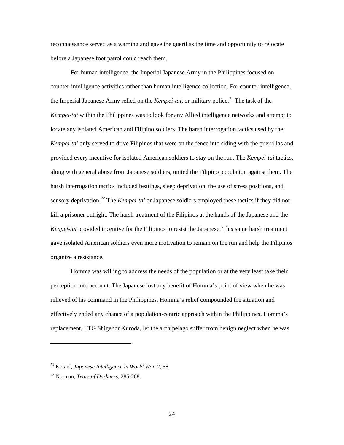reconnaissance served as a warning and gave the guerillas the time and opportunity to relocate before a Japanese foot patrol could reach them.

For human intelligence, the Imperial Japanese Army in the Philippines focused on counter-intelligence activities rather than human intelligence collection. For counter-intelligence, the Imperial Japanese Army relied on the *Kempei-tai*, or military police.<sup>71</sup> The task of the *Kempei-tai* within the Philippines was to look for any Allied intelligence networks and attempt to locate any isolated American and Filipino soldiers. The harsh interrogation tactics used by the *Kempei-tai* only served to drive Filipinos that were on the fence into siding with the guerrillas and provided every incentive for isolated American soldiers to stay on the run. The *Kempei-tai* tactics, along with general abuse from Japanese soldiers, united the Filipino population against them. The harsh interrogation tactics included beatings, sleep deprivation, the use of stress positions, and sensory deprivation.<sup>72</sup> The *Kempei-tai* or Japanese soldiers employed these tactics if they did not kill a prisoner outright. The harsh treatment of the Filipinos at the hands of the Japanese and the *Kenpei-tai* provided incentive for the Filipinos to resist the Japanese. This same harsh treatment gave isolated American soldiers even more motivation to remain on the run and help the Filipinos organize a resistance.

Homma was willing to address the needs of the population or at the very least take their perception into account. The Japanese lost any benefit of Homma's point of view when he was relieved of his command in the Philippines. Homma's relief compounded the situation and effectively ended any chance of a population-centric approach within the Philippines. Homma's replacement, LTG Shigenor Kuroda, let the archipelago suffer from benign neglect when he was

 $\overline{a}$ 

24

<sup>71</sup> Kotani, *Japanese Intelligence in World War II,* 58.

<sup>72</sup> Norman, *Tears of Darkness,* 285-288.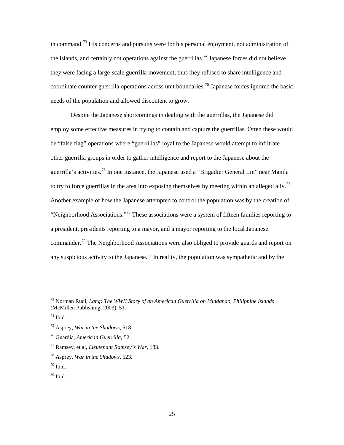in command.<sup>73</sup> His concerns and pursuits were for his personal enjoyment, not administration of the islands, and certainly not operations against the guerrillas.<sup>74</sup> Japanese forces did not believe they were facing a large-scale guerrilla movement, thus they refused to share intelligence and coordinate counter guerrilla operations across unit boundaries.<sup>75</sup> Japanese forces ignored the basic needs of the population and allowed discontent to grow.

Despite the Japanese shortcomings in dealing with the guerrillas, the Japanese did employ some effective measures in trying to contain and capture the guerrillas. Often these would be "false flag" operations where "guerrillas" loyal to the Japanese would attempt to infiltrate other guerrilla groups in order to gather intelligence and report to the Japanese about the guerrilla's activities.<sup>76</sup> In one instance, the Japanese used a "Brigadier General Lin" near Manila to try to force guerrillas in the area into exposing themselves by meeting within an alleged ally.<sup>77</sup> Another example of how the Japanese attempted to control the population was by the creation of "Neighborhood Associations."<sup>78</sup> These associations were a system of fifteen families reporting to a president, presidents reporting to a mayor, and a mayor reporting to the local Japanese commander.<sup>79</sup> The Neighborhood Associations were also obliged to provide guards and report on any suspicious activity to the Japanese. $80$  In reality, the population was sympathetic and by the

<sup>73</sup> Norman Rudi, *Lang: The WWII Story of an American Guerrilla on Mindanao, Philippine Islands* (McMillen Publishing, 2003), 51.

 $74$  Ibid.

<sup>75</sup> Asprey, *War in the Shadows,* 518.

<sup>76</sup> Guardia, *American Guerrilla,* 52.

<sup>77</sup> Ramsey, et al, *Lieutenant Ramsey's War*, 183.

<sup>78</sup> Asprey, *War in the Shadows,* 523.

 $79$  Ibid.

 $80$  Ibid.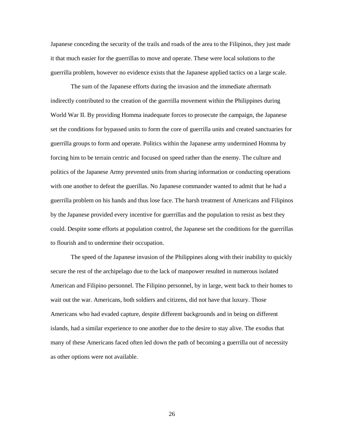Japanese conceding the security of the trails and roads of the area to the Filipinos, they just made it that much easier for the guerrillas to move and operate. These were local solutions to the guerrilla problem, however no evidence exists that the Japanese applied tactics on a large scale.

The sum of the Japanese efforts during the invasion and the immediate aftermath indirectly contributed to the creation of the guerrilla movement within the Philippines during World War II. By providing Homma inadequate forces to prosecute the campaign, the Japanese set the conditions for bypassed units to form the core of guerrilla units and created sanctuaries for guerrilla groups to form and operate. Politics within the Japanese army undermined Homma by forcing him to be terrain centric and focused on speed rather than the enemy. The culture and politics of the Japanese Army prevented units from sharing information or conducting operations with one another to defeat the guerillas. No Japanese commander wanted to admit that he had a guerrilla problem on his hands and thus lose face. The harsh treatment of Americans and Filipinos by the Japanese provided every incentive for guerrillas and the population to resist as best they could. Despite some efforts at population control, the Japanese set the conditions for the guerrillas to flourish and to undermine their occupation.

The speed of the Japanese invasion of the Philippines along with their inability to quickly secure the rest of the archipelago due to the lack of manpower resulted in numerous isolated American and Filipino personnel. The Filipino personnel, by in large, went back to their homes to wait out the war. Americans, both soldiers and citizens, did not have that luxury. Those Americans who had evaded capture, despite different backgrounds and in being on different islands, had a similar experience to one another due to the desire to stay alive. The exodus that many of these Americans faced often led down the path of becoming a guerrilla out of necessity as other options were not available.

26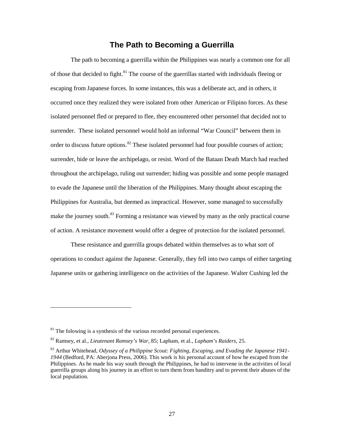#### **The Path to Becoming a Guerrilla**

The path to becoming a guerrilla within the Philippines was nearly a common one for all of those that decided to fight.<sup>81</sup> The course of the guerrillas started with individuals fleeing or escaping from Japanese forces. In some instances, this was a deliberate act, and in others, it occurred once they realized they were isolated from other American or Filipino forces. As these isolated personnel fled or prepared to flee, they encountered other personnel that decided not to surrender. These isolated personnel would hold an informal "War Council" between them in order to discuss future options.<sup>82</sup> These isolated personnel had four possible courses of action; surrender, hide or leave the archipelago, or resist. Word of the Bataan Death March had reached throughout the archipelago, ruling out surrender; hiding was possible and some people managed to evade the Japanese until the liberation of the Philippines. Many thought about escaping the Philippines for Australia, but deemed as impractical. However, some managed to successfully make the journey south.<sup>83</sup> Forming a resistance was viewed by many as the only practical course of action. A resistance movement would offer a degree of protection for the isolated personnel.

These resistance and guerrilla groups debated within themselves as to what sort of operations to conduct against the Japanese. Generally, they fell into two camps of either targeting Japanese units or gathering intelligence on the activities of the Japanese. Walter Cushing led the

 $81$ <sup>81</sup> The folowing is a synthesis of the various recorded personal experiences.

<sup>82</sup> Ramsey, et al., *Lieutenant Ramsey's War*, 85; Lapham, et al., *Lapham's Raiders*, 25.

<sup>83</sup> Arthur Whitehead, *Odyssey of a Philippine Scout: Fighting, Escaping, and Evading the Japanese 1941- 1944* (Bedford, PA: Aberjona Press, 2006). This work is his personal account of how he escaped from the Philippines. As he made his way south through the Philippines, he had to intervene in the activities of local guerrilla groups along his journey in an effort to turn them from banditry and to prevent their abuses of the local population.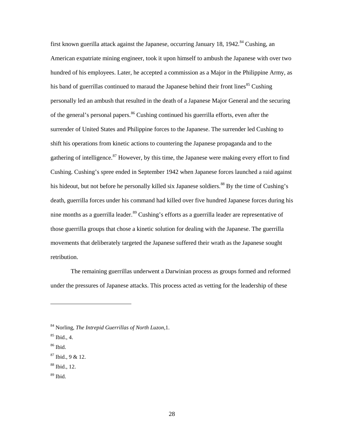first known guerilla attack against the Japanese, occurring January 18, 1942.<sup>84</sup> Cushing, an American expatriate mining engineer, took it upon himself to ambush the Japanese with over two hundred of his employees. Later, he accepted a commission as a Major in the Philippine Army, as his band of guerrillas continued to maraud the Japanese behind their front lines<sup>85</sup> Cushing personally led an ambush that resulted in the death of a Japanese Major General and the securing of the general's personal papers.<sup>86</sup> Cushing continued his guerrilla efforts, even after the surrender of United States and Philippine forces to the Japanese. The surrender led Cushing to shift his operations from kinetic actions to countering the Japanese propaganda and to the gathering of intelligence.<sup>87</sup> However, by this time, the Japanese were making every effort to find Cushing. Cushing's spree ended in September 1942 when Japanese forces launched a raid against his hideout, but not before he personally killed six Japanese soldiers.<sup>88</sup> By the time of Cushing's death, guerrilla forces under his command had killed over five hundred Japanese forces during his nine months as a guerrilla leader.<sup>89</sup> Cushing's efforts as a guerrilla leader are representative of those guerrilla groups that chose a kinetic solution for dealing with the Japanese. The guerrilla movements that deliberately targeted the Japanese suffered their wrath as the Japanese sought retribution.

The remaining guerrillas underwent a Darwinian process as groups formed and reformed under the pressures of Japanese attacks. This process acted as vetting for the leadership of these

<sup>84</sup> Norling, *The Intrepid Guerrillas of North Luzon,*1.

 $85$  Ibid., 4.

<sup>86</sup> Ibid.

 $87$  Ibid., 9 & 12.

<sup>88</sup> Ibid., 12.

 $89$  Ibid.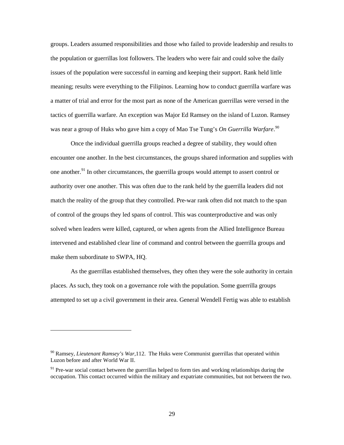groups. Leaders assumed responsibilities and those who failed to provide leadership and results to the population or guerrillas lost followers. The leaders who were fair and could solve the daily issues of the population were successful in earning and keeping their support. Rank held little meaning; results were everything to the Filipinos. Learning how to conduct guerrilla warfare was a matter of trial and error for the most part as none of the American guerrillas were versed in the tactics of guerrilla warfare. An exception was Major Ed Ramsey on the island of Luzon. Ramsey was near a group of Huks who gave him a copy of Mao Tse Tung's *On Guerrilla Warfare*. 90

Once the individual guerrilla groups reached a degree of stability, they would often encounter one another. In the best circumstances, the groups shared information and supplies with one another.<sup>91</sup> In other circumstances, the guerrilla groups would attempt to assert control or authority over one another. This was often due to the rank held by the guerrilla leaders did not match the reality of the group that they controlled. Pre-war rank often did not match to the span of control of the groups they led spans of control. This was counterproductive and was only solved when leaders were killed, captured, or when agents from the Allied Intelligence Bureau intervened and established clear line of command and control between the guerrilla groups and make them subordinate to SWPA, HQ.

As the guerrillas established themselves, they often they were the sole authority in certain places. As such, they took on a governance role with the population. Some guerrilla groups attempted to set up a civil government in their area. General Wendell Fertig was able to establish

<sup>90</sup> Ramsey, *Lieutenant Ramsey's War,*112. The Huks were Communist guerrillas that operated within Luzon before and after World War II.

 $91$  Pre-war social contact between the guerrillas helped to form ties and working relationships during the occupation. This contact occurred within the military and expatriate communities, but not between the two.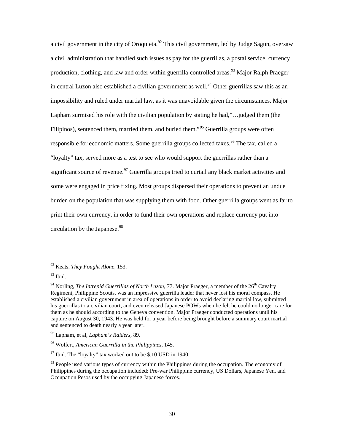a civil government in the city of Oroquieta.<sup>92</sup> This civil government, led by Judge Sagun, oversaw a civil administration that handled such issues as pay for the guerrillas, a postal service, currency production, clothing, and law and order within guerrilla-controlled areas.<sup>93</sup> Major Ralph Praeger in central Luzon also established a civilian government as well.<sup>94</sup> Other guerrillas saw this as an impossibility and ruled under martial law, as it was unavoidable given the circumstances. Major Lapham surmised his role with the civilian population by stating he had,"…judged them (the Filipinos), sentenced them, married them, and buried them."<sup>95</sup> Guerrilla groups were often responsible for economic matters. Some guerrilla groups collected taxes.<sup>96</sup> The tax, called a "loyalty" tax, served more as a test to see who would support the guerrillas rather than a significant source of revenue.<sup>97</sup> Guerrilla groups tried to curtail any black market activities and some were engaged in price fixing. Most groups dispersed their operations to prevent an undue burden on the population that was supplying them with food. Other guerrilla groups went as far to print their own currency, in order to fund their own operations and replace currency put into circulation by the Japanese. 98

<sup>92</sup> Keats, *They Fought Alone,* 153.

<sup>93</sup> Ibid.

<sup>&</sup>lt;sup>94</sup> Norling, *The Intrepid Guerrillas of North Luzon*, 77. Major Praeger, a member of the 26<sup>th</sup> Cavalry Regiment, Philippine Scouts, was an impressive guerrilla leader that never lost his moral compass. He established a civilian government in area of operations in order to avoid declaring martial law, submitted his guerrillas to a civilian court, and even released Japanese POWs when he felt he could no longer care for them as he should according to the Geneva convention. Major Praeger conducted operations until his capture on August 30, 1943. He was held for a year before being brought before a summary court martial and sentenced to death nearly a year later.

<sup>95</sup> Lapham, et al, *Lapham's Raiders,* 89.

<sup>96</sup> Wolfert, *American Guerrilla in the Philippines,* 145.

 $97$  Ibid. The "loyalty" tax worked out to be \$.10 USD in 1940.

 $98$  People used various types of currency within the Philippines during the occupation. The economy of Philippines during the occupation included: Pre-war Philippine currency, US Dollars, Japanese Yen, and Occupation Pesos used by the occupying Japanese forces.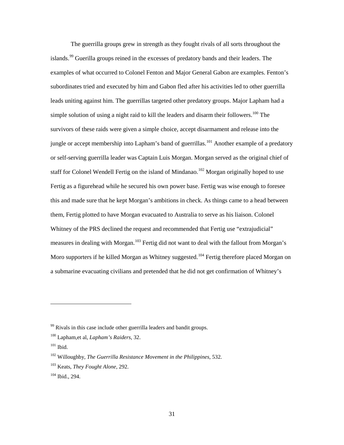The guerrilla groups grew in strength as they fought rivals of all sorts throughout the islands.<sup>99</sup> Guerilla groups reined in the excesses of predatory bands and their leaders. The examples of what occurred to Colonel Fenton and Major General Gabon are examples. Fenton's subordinates tried and executed by him and Gabon fled after his activities led to other guerrilla leads uniting against him. The guerrillas targeted other predatory groups. Major Lapham had a simple solution of using a night raid to kill the leaders and disarm their followers.<sup>100</sup> The survivors of these raids were given a simple choice, accept disarmament and release into the jungle or accept membership into Lapham's band of guerrillas.<sup>101</sup> Another example of a predatory or self-serving guerrilla leader was Captain Luis Morgan. Morgan served as the original chief of staff for Colonel Wendell Fertig on the island of Mindanao.<sup>102</sup> Morgan originally hoped to use Fertig as a figurehead while he secured his own power base. Fertig was wise enough to foresee this and made sure that he kept Morgan's ambitions in check. As things came to a head between them, Fertig plotted to have Morgan evacuated to Australia to serve as his liaison. Colonel Whitney of the PRS declined the request and recommended that Fertig use "extrajudicial" measures in dealing with Morgan.<sup>103</sup> Fertig did not want to deal with the fallout from Morgan's Moro supporters if he killed Morgan as Whitney suggested.<sup>104</sup> Fertig therefore placed Morgan on a submarine evacuating civilians and pretended that he did not get confirmation of Whitney's

 $99$  Rivals in this case include other guerrilla leaders and bandit groups.

<sup>100</sup> Lapham,et al, *Lapham's Raiders,* 32.

<sup>101</sup> Ibid.

<sup>102</sup> Willoughby, *The Guerrilla Resistance Movement in the Philippines,* 532.

<sup>103</sup> Keats, *They Fought Alone,* 292.

<sup>104</sup> Ibid., 294.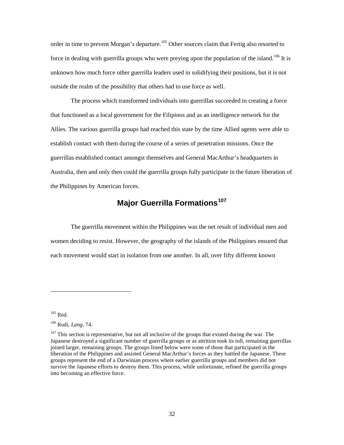order in time to prevent Morgan's departure.<sup>105</sup> Other sources claim that Fertig also resorted to force in dealing with guerrilla groups who were preying upon the population of the island.<sup>106</sup> It is unknown how much force other guerrilla leaders used in solidifying their positions, but it is not outside the realm of the possibility that others had to use force as well.

 The process which transformed individuals into guerrillas succeeded in creating a force that functioned as a local government for the Filipinos and as an intelligence network for the Allies. The various guerrilla groups had reached this state by the time Allied agents were able to establish contact with them during the course of a series of penetration missions. Once the guerrillas established contact amongst themselves and General MacArthur's headquarters in Australia, then and only then could the guerrilla groups fully participate in the future liberation of the Philippines by American forces.

## **Major Guerrilla Formations<sup>107</sup>**

 The guerrilla movement within the Philippines was the net result of individual men and women deciding to resist. However, the geography of the islands of the Philippines ensured that each movement would start in isolation from one another. In all, over fifty different known

 $105$  Ibid.

<sup>106</sup> Rudi, *Lang,* 74.

 $107$  This section is representative, but not all inclusive of the groups that existed during the war. The Japanese destroyed a significant number of guerrilla groups or as attrition took its toll, remaining guerrillas joined larger, remaining groups. The groups listed below were some of those that participated in the liberation of the Philippines and assisted General MacArthur's forces as they battled the Japanese. These groups represent the end of a Darwinian process where earlier guerrilla groups and members did not survive the Japanese efforts to destroy them. This process, while unfortunate, refined the guerrilla groups into becoming an effective force.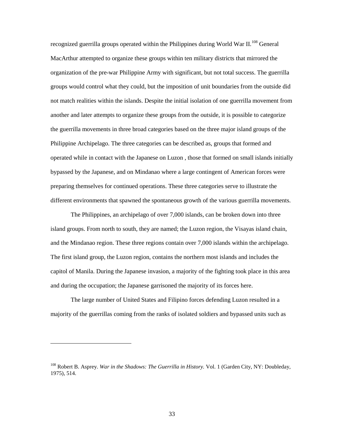recognized guerrilla groups operated within the Philippines during World War II.<sup>108</sup> General MacArthur attempted to organize these groups within ten military districts that mirrored the organization of the pre-war Philippine Army with significant, but not total success. The guerrilla groups would control what they could, but the imposition of unit boundaries from the outside did not match realities within the islands. Despite the initial isolation of one guerrilla movement from another and later attempts to organize these groups from the outside, it is possible to categorize the guerrilla movements in three broad categories based on the three major island groups of the Philippine Archipelago. The three categories can be described as, groups that formed and operated while in contact with the Japanese on Luzon , those that formed on small islands initially bypassed by the Japanese, and on Mindanao where a large contingent of American forces were preparing themselves for continued operations. These three categories serve to illustrate the different environments that spawned the spontaneous growth of the various guerrilla movements.

The Philippines, an archipelago of over 7,000 islands, can be broken down into three island groups. From north to south, they are named; the Luzon region, the Visayas island chain, and the Mindanao region. These three regions contain over 7,000 islands within the archipelago. The first island group, the Luzon region, contains the northern most islands and includes the capitol of Manila. During the Japanese invasion, a majority of the fighting took place in this area and during the occupation; the Japanese garrisoned the majority of its forces here.

The large number of United States and Filipino forces defending Luzon resulted in a majority of the guerrillas coming from the ranks of isolated soldiers and bypassed units such as

<sup>108</sup> Robert B. Asprey. *War in the Shadows: The Guerrilla in History.* Vol. 1 (Garden City, NY: Doubleday, 1975), 514.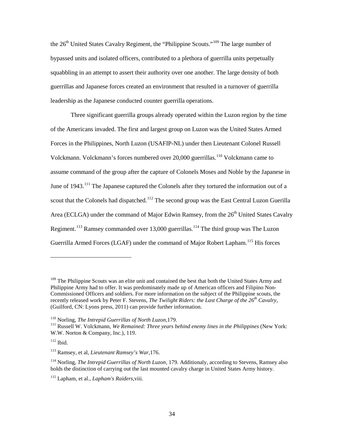the  $26<sup>th</sup>$  United States Cavalry Regiment, the "Philippine Scouts."<sup>109</sup> The large number of bypassed units and isolated officers, contributed to a plethora of guerrilla units perpetually squabbling in an attempt to assert their authority over one another. The large density of both guerrillas and Japanese forces created an environment that resulted in a turnover of guerrilla leadership as the Japanese conducted counter guerrilla operations.

Three significant guerrilla groups already operated within the Luzon region by the time of the Americans invaded. The first and largest group on Luzon was the United States Armed Forces in the Philippines, North Luzon (USAFIP-NL) under then Lieutenant Colonel Russell Volckmann. Volckmann's forces numbered over 20,000 guerrillas.<sup>110</sup> Volckmann came to assume command of the group after the capture of Colonels Moses and Noble by the Japanese in June of 1943.<sup>111</sup> The Japanese captured the Colonels after they tortured the information out of a scout that the Colonels had dispatched.<sup>112</sup> The second group was the East Central Luzon Guerilla Area (ECLGA) under the command of Major Edwin Ramsey, from the  $26<sup>th</sup>$  United States Cavalry Regiment.<sup>113</sup> Ramsey commanded over 13,000 guerrillas.<sup>114</sup> The third group was The Luzon Guerrilla Armed Forces (LGAF) under the command of Major Robert Lapham.<sup>115</sup> His forces

<sup>&</sup>lt;sup>109</sup> The Philippine Scouts was an elite unit and contained the best that both the United States Army and Philippine Army had to offer. It was predominately made up of American officers and Filipino Non-Commissioned Officers and soldiers. For more information on the subject of the Philippine scouts, the recently released work by Peter F. Stevens, *The Twilight Riders: the Last Charge of the 26th Cavalry,*  (Guilford, CN: Lyons press, 2011) can provide further information.

<sup>&</sup>lt;sup>110</sup> Norling, *The Intrepid Guerrillas of North Luzon*, 179.<br><sup>111</sup> Russell W. Volckmann, *We Remained: Three years behind enemy lines in the Philippines (New York:* W.W. Norton & Company, Inc.), 119.

 $112$  Ibid.

<sup>113</sup> Ramsey, et al, *Lieutenant Ramsey's War,*176.

<sup>114</sup> Norling, *The Intrepid Guerrillas of North Luzon,* 179. Additionaly, according to Stevens, Ramsey also holds the distinction of carrying out the last mounted cavalry charge in United States Army history.

<sup>115</sup> Lapham, et al., *Lapham's Raiders*,viii.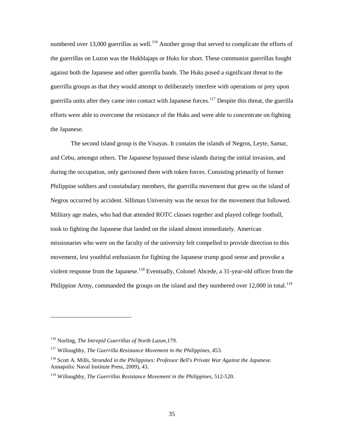numbered over 13,000 guerrillas as well.<sup>116</sup> Another group that served to complicate the efforts of the guerrillas on Luzon was the Hukblajaps or Huks for short. These communist guerrillas fought against both the Japanese and other guerrilla bands. The Huks posed a significant threat to the guerrilla groups as that they would attempt to deliberately interfere with operations or prey upon guerrilla units after they came into contact with Japanese forces. <sup>117</sup> Despite this threat, the guerilla efforts were able to overcome the resistance of the Huks and were able to concentrate on fighting the Japanese.

The second island group is the Visayas. It contains the islands of Negros, Leyte, Samar, and Cebu, amongst others. The Japanese bypassed these islands during the initial invasion, and during the occupation, only garrisoned them with token forces. Consisting primarily of former Philippine soldiers and constabulary members, the guerrilla movement that grew on the island of Negros occurred by accident. Silliman University was the nexus for the movement that followed. Military age males, who had that attended ROTC classes together and played college football, took to fighting the Japanese that landed on the island almost immediately. American missionaries who were on the faculty of the university felt compelled to provide direction to this movement, lest youthful enthusiasm for fighting the Japanese trump good sense and provoke a violent response from the Japanese.<sup>118</sup> Eventually, Colonel Abcede, a 31-year-old officer from the Philippine Army, commanded the groups on the island and they numbered over  $12,000$  in total.<sup>119</sup>

<sup>116</sup> Norling, *The Intrepid Guerrillas of North Luzon*,179.

<sup>117</sup> Willoughby, *The Guerrilla Resistance Movement in the Philippines,* 453.

<sup>118</sup> Scott A. Mills, *Stranded in the Philippines: Professor Bell's Private War Against the Japanese.* Annapolis: Naval Institute Press, 2009), 43.

<sup>119</sup> Willoughby, *The Guerrillas Resistance Movement in the Philippines,* 512-520.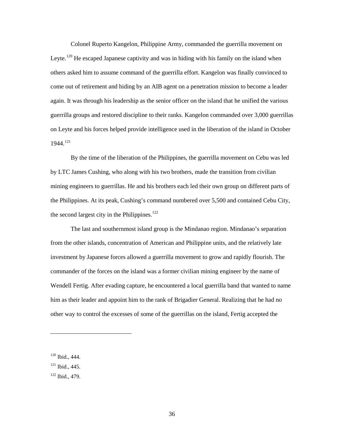Colonel Ruperto Kangelon, Philippine Army, commanded the guerrilla movement on Leyte.<sup>120</sup> He escaped Japanese captivity and was in hiding with his family on the island when others asked him to assume command of the guerrilla effort. Kangelon was finally convinced to come out of retirement and hiding by an AIB agent on a penetration mission to become a leader again. It was through his leadership as the senior officer on the island that he unified the various guerrilla groups and restored discipline to their ranks. Kangelon commanded over 3,000 guerrillas on Leyte and his forces helped provide intelligence used in the liberation of the island in October 1944.<sup>121</sup>

By the time of the liberation of the Philippines, the guerrilla movement on Cebu was led by LTC James Cushing, who along with his two brothers, made the transition from civilian mining engineers to guerrillas. He and his brothers each led their own group on different parts of the Philippines. At its peak, Cushing's command numbered over 5,500 and contained Cebu City, the second largest city in the Philippines.<sup>122</sup>

The last and southernmost island group is the Mindanao region. Mindanao's separation from the other islands, concentration of American and Philippine units, and the relatively late investment by Japanese forces allowed a guerrilla movement to grow and rapidly flourish. The commander of the forces on the island was a former civilian mining engineer by the name of Wendell Fertig. After evading capture, he encountered a local guerrilla band that wanted to name him as their leader and appoint him to the rank of Brigadier General. Realizing that he had no other way to control the excesses of some of the guerrillas on the island, Fertig accepted the

<sup>120</sup> Ibid., 444.

 $121$  Ibid., 445.

<sup>122</sup> Ibid., 479.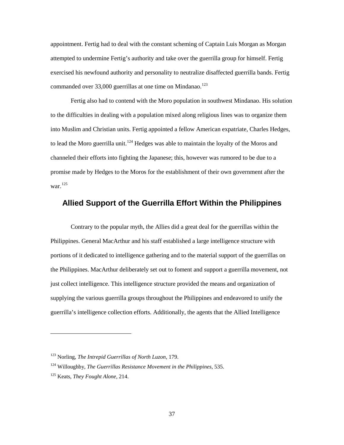appointment. Fertig had to deal with the constant scheming of Captain Luis Morgan as Morgan attempted to undermine Fertig's authority and take over the guerrilla group for himself. Fertig exercised his newfound authority and personality to neutralize disaffected guerrilla bands. Fertig commanded over 33,000 guerrillas at one time on Mindanao.<sup>123</sup>

Fertig also had to contend with the Moro population in southwest Mindanao. His solution to the difficulties in dealing with a population mixed along religious lines was to organize them into Muslim and Christian units. Fertig appointed a fellow American expatriate, Charles Hedges, to lead the Moro guerrilla unit.<sup>124</sup> Hedges was able to maintain the loyalty of the Moros and channeled their efforts into fighting the Japanese; this, however was rumored to be due to a promise made by Hedges to the Moros for the establishment of their own government after the war. $^{125}\,$ 

#### **Allied Support of the Guerrilla Effort Within the Philippines**

Contrary to the popular myth, the Allies did a great deal for the guerrillas within the Philippines. General MacArthur and his staff established a large intelligence structure with portions of it dedicated to intelligence gathering and to the material support of the guerrillas on the Philippines. MacArthur deliberately set out to foment and support a guerrilla movement, not just collect intelligence. This intelligence structure provided the means and organization of supplying the various guerrilla groups throughout the Philippines and endeavored to unify the guerrilla's intelligence collection efforts. Additionally, the agents that the Allied Intelligence

<sup>123</sup> Norling, *The Intrepid Guerrillas of North Luzon,* 179.

<sup>124</sup> Willoughby, *The Guerrillas Resistance Movement in the Philippines*, 535.

<sup>125</sup> Keats, *They Fought Alone,* 214.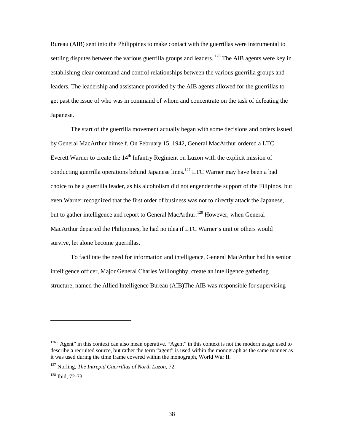Bureau (AIB) sent into the Philippines to make contact with the guerrillas were instrumental to settling disputes between the various guerrilla groups and leaders.  $^{126}$  The AIB agents were key in establishing clear command and control relationships between the various guerrilla groups and leaders. The leadership and assistance provided by the AIB agents allowed for the guerrillas to get past the issue of who was in command of whom and concentrate on the task of defeating the Japanese.

The start of the guerrilla movement actually began with some decisions and orders issued by General MacArthur himself. On February 15, 1942, General MacArthur ordered a LTC Everett Warner to create the  $14<sup>th</sup>$  Infantry Regiment on Luzon with the explicit mission of conducting guerrilla operations behind Japanese lines.<sup>127</sup> LTC Warner may have been a bad choice to be a guerrilla leader, as his alcoholism did not engender the support of the Filipinos, but even Warner recognized that the first order of business was not to directly attack the Japanese, but to gather intelligence and report to General MacArthur.<sup>128</sup> However, when General MacArthur departed the Philippines, he had no idea if LTC Warner's unit or others would survive, let alone become guerrillas.

To facilitate the need for information and intelligence, General MacArthur had his senior intelligence officer, Major General Charles Willoughby, create an intelligence gathering structure, named the Allied Intelligence Bureau (AIB)The AIB was responsible for supervising

<sup>&</sup>lt;sup>126</sup> "Agent" in this context can also mean operative. "Agent" in this context is not the modern usage used to describe a recruited source, but rather the term "agent" is used within the monograph as the same manner as it was used during the time frame covered within the monograph, World War II.

<sup>127</sup> Norling, *The Intrepid Guerrillas of North Luzon*, 72.

<sup>128</sup> Ibid, 72-73.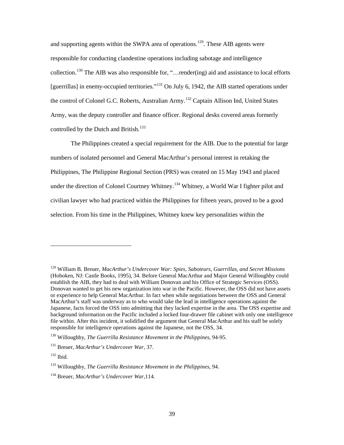and supporting agents within the SWPA area of operations.<sup>129</sup>. These AIB agents were responsible for conducting clandestine operations including sabotage and intelligence collection.<sup>130</sup> The AIB was also responsible for, "... render(ing) aid and assistance to local efforts [guerrillas] in enemy-occupied territories."<sup>131</sup> On July 6, 1942, the AIB started operations under the control of Colonel G.C. Roberts, Australian Army.<sup>132</sup> Captain Allison Ind, United States Army, was the deputy controller and finance officer. Regional desks covered areas formerly controlled by the Dutch and British.<sup>133</sup>

The Philippines created a special requirement for the AIB. Due to the potential for large numbers of isolated personnel and General MacArthur's personal interest in retaking the Philippines, The Philippine Regional Section (PRS) was created on 15 May 1943 and placed under the direction of Colonel Courtney Whitney.<sup>134</sup> Whitney, a World War I fighter pilot and civilian lawyer who had practiced within the Philippines for fifteen years, proved to be a good selection. From his time in the Philippines, Whitney knew key personalities within the

<sup>129</sup> William B. Breuer, *MacArthur's Undercover War: Spies, Saboteurs, Guerrillas, and Secret Missions* (Hoboken, NJ: Castle Books, 1995), 34. Before General MacArthur and Major General Willoughby could establish the AIB, they had to deal with William Donovan and his Office of Strategic Services (OSS). Donovan wanted to get his new organization into war in the Pacific. However, the OSS did not have assets or experience to help General MacArthur. In fact when while negotiations between the OSS and General MacArthur's staff was underway as to who would take the lead in intelligence operations against the Japanese, facts forced the OSS into admitting that they lacked expertise in the area. The OSS expertise and background information on the Pacific included a locked four-drawer file cabinet with only one intelligence file within. After this incident, it solidified the argument that General MacArthur and his staff be solely responsible for intelligence operations against the Japanese, not the OSS, 34.

<sup>130</sup> Willoughby, *The Guerrilla Resistance Movement in the Philippines,* 94-95.

<sup>131</sup> Breuer, *MacArthur's Undercover War,* 37.

 $132$  Ibid.

<sup>133</sup> Willoughby, *The Guerrilla Resistance Movement in the Philippines,* 94.

<sup>134</sup> Breuer, *MacArthur's Undercover War*,114.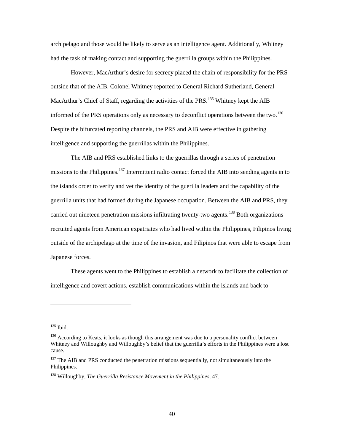archipelago and those would be likely to serve as an intelligence agent. Additionally, Whitney had the task of making contact and supporting the guerrilla groups within the Philippines.

However, MacArthur's desire for secrecy placed the chain of responsibility for the PRS outside that of the AIB. Colonel Whitney reported to General Richard Sutherland, General MacArthur's Chief of Staff, regarding the activities of the PRS.<sup>135</sup> Whitney kept the AIB informed of the PRS operations only as necessary to deconflict operations between the two.<sup>136</sup> Despite the bifurcated reporting channels, the PRS and AIB were effective in gathering intelligence and supporting the guerrillas within the Philippines.

The AIB and PRS established links to the guerrillas through a series of penetration missions to the Philippines.<sup>137</sup> Intermittent radio contact forced the AIB into sending agents in to the islands order to verify and vet the identity of the guerilla leaders and the capability of the guerrilla units that had formed during the Japanese occupation. Between the AIB and PRS, they carried out nineteen penetration missions infiltrating twenty-two agents.<sup>138</sup> Both organizations recruited agents from American expatriates who had lived within the Philippines, Filipinos living outside of the archipelago at the time of the invasion, and Filipinos that were able to escape from Japanese forces.

These agents went to the Philippines to establish a network to facilitate the collection of intelligence and covert actions, establish communications within the islands and back to

 $135$  Ibid.

<sup>&</sup>lt;sup>136</sup> According to Keats, it looks as though this arrangement was due to a personality conflict between Whitney and Willoughby and Willoughby's belief that the guerrilla's efforts in the Philippines were a lost cause.

<sup>&</sup>lt;sup>137</sup> The AIB and PRS conducted the penetration missions sequentially, not simultaneously into the Philippines.

<sup>138</sup> Willoughby, *The Guerrilla Resistance Movement in the Philippines,* 47.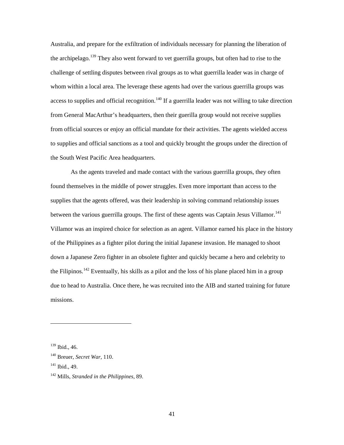Australia, and prepare for the exfiltration of individuals necessary for planning the liberation of the archipelago.<sup>139</sup> They also went forward to vet guerrilla groups, but often had to rise to the challenge of settling disputes between rival groups as to what guerrilla leader was in charge of whom within a local area. The leverage these agents had over the various guerrilla groups was access to supplies and official recognition.<sup>140</sup> If a guerrilla leader was not willing to take direction from General MacArthur's headquarters, then their guerilla group would not receive supplies from official sources or enjoy an official mandate for their activities. The agents wielded access to supplies and official sanctions as a tool and quickly brought the groups under the direction of the South West Pacific Area headquarters.

As the agents traveled and made contact with the various guerrilla groups, they often found themselves in the middle of power struggles. Even more important than access to the supplies that the agents offered, was their leadership in solving command relationship issues between the various guerrilla groups. The first of these agents was Captain Jesus Villamor.<sup>141</sup> Villamor was an inspired choice for selection as an agent. Villamor earned his place in the history of the Philippines as a fighter pilot during the initial Japanese invasion. He managed to shoot down a Japanese Zero fighter in an obsolete fighter and quickly became a hero and celebrity to the Filipinos.<sup>142</sup> Eventually, his skills as a pilot and the loss of his plane placed him in a group due to head to Australia. Once there, he was recruited into the AIB and started training for future missions.

 $\overline{a}$ 

41

<sup>139</sup> Ibid., 46.

<sup>140</sup> Breuer, *Secret War*, 110.

<sup>141</sup> Ibid., 49.

<sup>142</sup> Mills, *Stranded in the Philippines,* 89.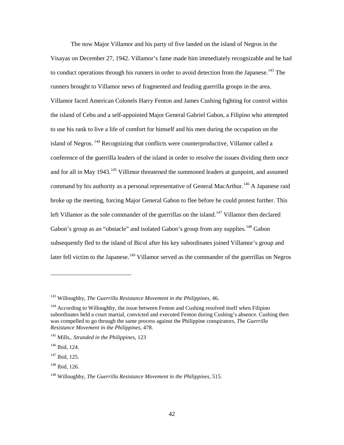The now Major Villamor and his party of five landed on the island of Negros in the Visayas on December 27, 1942. Villamor's fame made him immediately recognizable and he had to conduct operations through his runners in order to avoid detection from the Japanese.<sup>143</sup> The runners brought to Villamor news of fragmented and feuding guerrilla groups in the area. Villamor faced American Colonels Harry Fenton and James Cushing fighting for control within the island of Cebu and a self-appointed Major General Gabriel Gabon, a Filipino who attempted to use his rank to live a life of comfort for himself and his men during the occupation on the island of Negros. <sup>144</sup> Recognizing that conflicts were counterproductive, Villamor called a conference of the guerrilla leaders of the island in order to resolve the issues dividing them once and for all in May 1943.<sup>145</sup> Villimor threatened the summoned leaders at gunpoint, and assumed command by his authority as a personal representative of General MacArthur.<sup>146</sup> A Japanese raid broke up the meeting, forcing Major General Gabon to flee before he could protest further. This left Villamor as the sole commander of the guerrillas on the island.<sup>147</sup> Villamor then declared Gabon's group as an "obstacle" and isolated Gabon's group from any supplies.<sup>148</sup> Gabon subsequently fled to the island of Bicol after his key subordinates joined Villamor's group and later fell victim to the Japanese.<sup>149</sup> Villamor served as the commander of the guerrillas on Negros

<sup>143</sup> Willoughby, *The Guerrilla Resistance Movement in the Philippines,* 46.

<sup>&</sup>lt;sup>144</sup> According to Willoughby, the issue between Fenton and Cushing resolved itself when Filipino subordinates held a court martial, convicted and executed Fenton during Cushing's absence. Cushing then was compelled to go through the same process against the Philippine conspirators, *The Guerrilla Resistance Movement in the Philippines,* 478.

<sup>145</sup> Mills,. *Stranded in the Philippines,* 123

<sup>146</sup> Ibid, 124.

 $147$  Ibid, 125.

<sup>148</sup> Ibid, 126.

<sup>149</sup> Willoughby, *The Guerrilla Resistance Movement in the Philippines,* 515.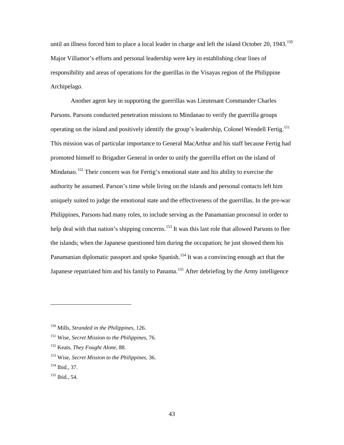until an illness forced him to place a local leader in charge and left the island October 20, 1943.<sup>150</sup> Major Villamor's efforts and personal leadership were key in establishing clear lines of responsibility and areas of operations for the guerillas in the Visayas region of the Philippine Archipelago.

Another agent key in supporting the guerrillas was Lieutenant Commander Charles Parsons. Parsons conducted penetration missions to Mindanao to verify the guerrilla groups operating on the island and positively identify the group's leadership, Colonel Wendell Fertig.<sup>151</sup> This mission was of particular importance to General MacArthur and his staff because Fertig had promoted himself to Brigadier General in order to unify the guerrilla effort on the island of Mindanao.<sup>152</sup> Their concern was for Fertig's emotional state and his ability to exercise the authority he assumed. Parson's time while living on the islands and personal contacts left him uniquely suited to judge the emotional state and the effectiveness of the guerrillas. In the pre-war Philippines, Parsons had many roles, to include serving as the Panamanian proconsul in order to help deal with that nation's shipping concerns.<sup>153</sup> It was this last role that allowed Parsons to flee the islands; when the Japanese questioned him during the occupation; he just showed them his Panamanian diplomatic passport and spoke Spanish.<sup>154</sup> It was a convincing enough act that the Japanese repatriated him and his family to Panama.<sup>155</sup> After debriefing by the Army intelligence

<sup>150</sup> Mills, *Stranded in the Philippines,* 126.

<sup>151</sup> Wise, *Secret Mission to the Philippines,* 76.

<sup>152</sup> Keats, *They Fought Alone,* 88.

<sup>153</sup> Wise, *Secret Mission to the Philippines,* 36.

<sup>154</sup> Ibid., 37.

<sup>155</sup> Ibid., 54.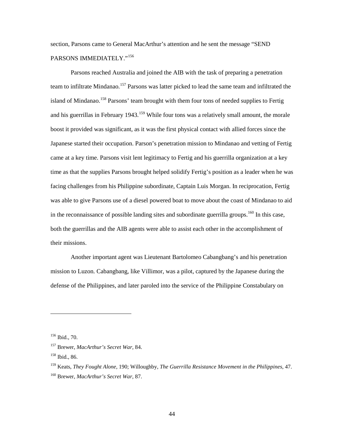section, Parsons came to General MacArthur's attention and he sent the message "SEND PARSONS IMMEDIATELY."156

Parsons reached Australia and joined the AIB with the task of preparing a penetration team to infiltrate Mindanao.<sup>157</sup> Parsons was latter picked to lead the same team and infiltrated the island of Mindanao.<sup>158</sup> Parsons' team brought with them four tons of needed supplies to Fertig and his guerrillas in February 1943.<sup>159</sup> While four tons was a relatively small amount, the morale boost it provided was significant, as it was the first physical contact with allied forces since the Japanese started their occupation. Parson's penetration mission to Mindanao and vetting of Fertig came at a key time. Parsons visit lent legitimacy to Fertig and his guerrilla organization at a key time as that the supplies Parsons brought helped solidify Fertig's position as a leader when he was facing challenges from his Philippine subordinate, Captain Luis Morgan. In reciprocation, Fertig was able to give Parsons use of a diesel powered boat to move about the coast of Mindanao to aid in the reconnaissance of possible landing sites and subordinate guerrilla groups.<sup>160</sup> In this case, both the guerrillas and the AIB agents were able to assist each other in the accomplishment of their missions.

Another important agent was Lieutenant Bartolomeo Cabangbang's and his penetration mission to Luzon. Cabangbang, like Villimor, was a pilot, captured by the Japanese during the defense of the Philippines, and later paroled into the service of the Philippine Constabulary on

<sup>156</sup> Ibid., 70.

<sup>157</sup> Brewer, *MacArthur's Secret War,* 84.

<sup>158</sup> Ibid., 86.

<sup>159</sup> Keats, *They Fought Alone,* 190; Willoughby, *The Guerrilla Resistance Movement in the Philippines,* 47. <sup>160</sup> Brewer, *MacArthur's Secret War,* 87.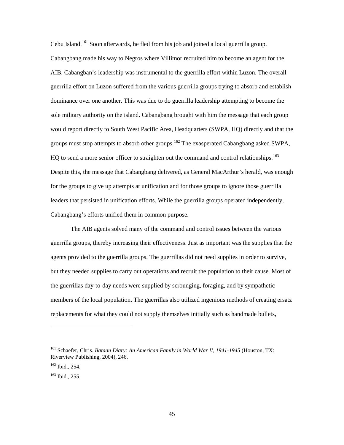Cebu Island.<sup>161</sup> Soon afterwards, he fled from his job and joined a local guerrilla group. Cabangbang made his way to Negros where Villimor recruited him to become an agent for the AIB. Cabangban's leadership was instrumental to the guerrilla effort within Luzon. The overall guerrilla effort on Luzon suffered from the various guerrilla groups trying to absorb and establish dominance over one another. This was due to do guerrilla leadership attempting to become the sole military authority on the island. Cabangbang brought with him the message that each group would report directly to South West Pacific Area, Headquarters (SWPA, HQ) directly and that the groups must stop attempts to absorb other groups.<sup>162</sup> The exasperated Cabangbang asked SWPA, HQ to send a more senior officer to straighten out the command and control relationships.<sup>163</sup> Despite this, the message that Cabangbang delivered, as General MacArthur's herald, was enough for the groups to give up attempts at unification and for those groups to ignore those guerrilla leaders that persisted in unification efforts. While the guerrilla groups operated independently, Cabangbang's efforts unified them in common purpose.

The AIB agents solved many of the command and control issues between the various guerrilla groups, thereby increasing their effectiveness. Just as important was the supplies that the agents provided to the guerrilla groups. The guerrillas did not need supplies in order to survive, but they needed supplies to carry out operations and recruit the population to their cause. Most of the guerrillas day-to-day needs were supplied by scrounging, foraging, and by sympathetic members of the local population. The guerrillas also utilized ingenious methods of creating ersatz replacements for what they could not supply themselves initially such as handmade bullets,

<sup>&</sup>lt;sup>161</sup> Schaefer, Chris. *Bataan Diary: An American Family in World War II, 1941-1945* (Houston, TX: Riverview Publishing, 2004), 246.

<sup>162</sup> Ibid., 254.

<sup>163</sup> Ibid., 255.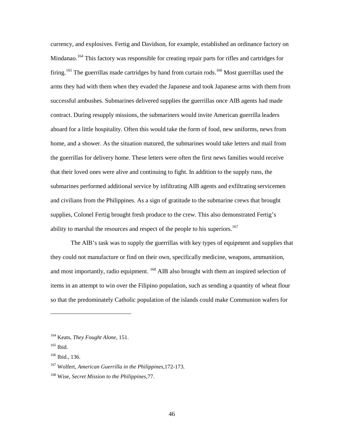currency, and explosives. Fertig and Davidson, for example, established an ordinance factory on Mindanao.<sup>164</sup> This factory was responsible for creating repair parts for rifles and cartridges for firing.<sup>165</sup> The guerrillas made cartridges by hand from curtain rods.<sup>166</sup> Most guerrillas used the arms they had with them when they evaded the Japanese and took Japanese arms with them from successful ambushes. Submarines delivered supplies the guerrillas once AIB agents had made contract. During resupply missions, the submariners would invite American guerrilla leaders aboard for a little hospitality. Often this would take the form of food, new uniforms, news from home, and a shower. As the situation matured, the submarines would take letters and mail from the guerrillas for delivery home. These letters were often the first news families would receive that their loved ones were alive and continuing to fight. In addition to the supply runs, the submarines performed additional service by infiltrating AIB agents and exfiltrating servicemen and civilians from the Philippines. As a sign of gratitude to the submarine crews that brought supplies, Colonel Fertig brought fresh produce to the crew. This also demonstrated Fertig's ability to marshal the resources and respect of the people to his superiors.<sup>167</sup>

The AIB's task was to supply the guerrillas with key types of equipment and supplies that they could not manufacture or find on their own, specifically medicine, weapons, ammunition, and most importantly, radio equipment. <sup>168</sup> AIB also brought with them an inspired selection of items in an attempt to win over the Filipino population, such as sending a quantity of wheat flour so that the predominately Catholic population of the islands could make Communion wafers for

<sup>164</sup> Keats, *They Fought Alone,* 151.

<sup>&</sup>lt;sup>165</sup> Ibid.

<sup>166</sup> Ibid., 136.

<sup>167</sup> Wolfert, *American Guerrilla in the Philippines*,172-173.

<sup>168</sup> Wise, *Secret Mission to the Philippines*,77.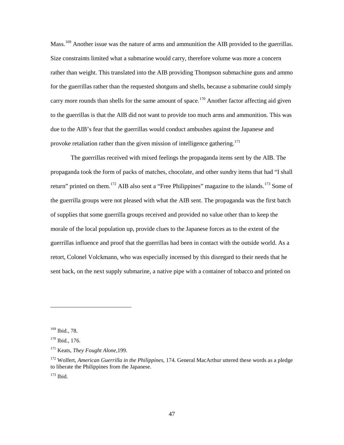Mass.<sup>169</sup> Another issue was the nature of arms and ammunition the AIB provided to the guerrillas. Size constraints limited what a submarine would carry, therefore volume was more a concern rather than weight. This translated into the AIB providing Thompson submachine guns and ammo for the guerrillas rather than the requested shotguns and shells, because a submarine could simply carry more rounds than shells for the same amount of space.<sup>170</sup> Another factor affecting aid given to the guerrillas is that the AIB did not want to provide too much arms and ammunition. This was due to the AIB's fear that the guerrillas would conduct ambushes against the Japanese and provoke retaliation rather than the given mission of intelligence gathering.<sup>171</sup>

The guerrillas received with mixed feelings the propaganda items sent by the AIB. The propaganda took the form of packs of matches, chocolate, and other sundry items that had "I shall return" printed on them.<sup>172</sup> AIB also sent a "Free Philippines" magazine to the islands.<sup>173</sup> Some of the guerrilla groups were not pleased with what the AIB sent. The propaganda was the first batch of supplies that some guerrilla groups received and provided no value other than to keep the morale of the local population up, provide clues to the Japanese forces as to the extent of the guerrillas influence and proof that the guerrillas had been in contact with the outside world. As a retort, Colonel Volckmann, who was especially incensed by this disregard to their needs that he sent back, on the next supply submarine, a native pipe with a container of tobacco and printed on

<sup>169</sup> Ibid., 78.

<sup>170</sup> Ibid., 176.

<sup>171</sup> Keats, *They Fought Alone,*199.

<sup>172</sup> Wolfert, *American Guerrilla in the Philippines*, 174. General MacArthur uttered these words as a pledge to liberate the Philippines from the Japanese. <sup>173</sup> Ibid.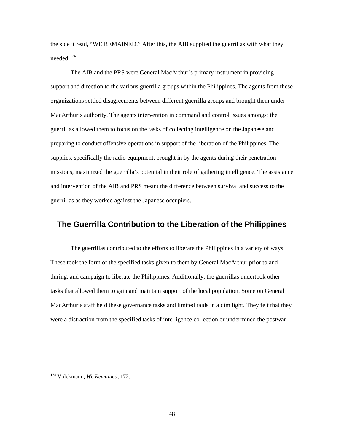the side it read, "WE REMAINED." After this, the AIB supplied the guerrillas with what they needed.<sup>174</sup>

The AIB and the PRS were General MacArthur's primary instrument in providing support and direction to the various guerrilla groups within the Philippines. The agents from these organizations settled disagreements between different guerrilla groups and brought them under MacArthur's authority. The agents intervention in command and control issues amongst the guerrillas allowed them to focus on the tasks of collecting intelligence on the Japanese and preparing to conduct offensive operations in support of the liberation of the Philippines. The supplies, specifically the radio equipment, brought in by the agents during their penetration missions, maximized the guerrilla's potential in their role of gathering intelligence. The assistance and intervention of the AIB and PRS meant the difference between survival and success to the guerrillas as they worked against the Japanese occupiers.

#### **The Guerrilla Contribution to the Liberation of the Philippines**

The guerrillas contributed to the efforts to liberate the Philippines in a variety of ways. These took the form of the specified tasks given to them by General MacArthur prior to and during, and campaign to liberate the Philippines. Additionally, the guerrillas undertook other tasks that allowed them to gain and maintain support of the local population. Some on General MacArthur's staff held these governance tasks and limited raids in a dim light. They felt that they were a distraction from the specified tasks of intelligence collection or undermined the postwar

<sup>174</sup> Volckmann, *We Remained,* 172.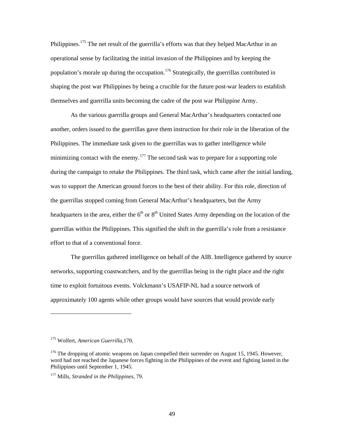Philippines.<sup>175</sup> The net result of the guerrilla's efforts was that they helped MacArthur in an operational sense by facilitating the initial invasion of the Philippines and by keeping the population's morale up during the occupation.<sup>176</sup> Strategically, the guerrillas contributed in shaping the post war Philippines by being a crucible for the future post-war leaders to establish themselves and guerrilla units becoming the cadre of the post war Philippine Army.

As the various guerrilla groups and General MacArthur's headquarters contacted one another, orders issued to the guerrillas gave them instruction for their role in the liberation of the Philippines. The immediate task given to the guerrillas was to gather intelligence while minimizing contact with the enemy.<sup>177</sup> The second task was to prepare for a supporting role during the campaign to retake the Philippines. The third task, which came after the initial landing, was to support the American ground forces to the best of their ability. For this role, direction of the guerrillas stopped coming from General MacArthur's headquarters, but the Army headquarters in the area, either the  $6<sup>th</sup>$  or  $8<sup>th</sup>$  United States Army depending on the location of the guerrillas within the Philippines. This signified the shift in the guerrilla's role from a resistance effort to that of a conventional force.

The guerrillas gathered intelligence on behalf of the AIB. Intelligence gathered by source networks, supporting coastwatchers, and by the guerrillas being in the right place and the right time to exploit fortuitous events. Volckmann's USAFIP-NL had a source network of approximately 100 agents while other groups would have sources that would provide early

<sup>175</sup> Wolfert, *American Guerrilla,*170.

 $176$  The dropping of atomic weapons on Japan compelled their surrender on August 15, 1945. However, word had not reached the Japanese forces fighting in the Philippines of the event and fighting lasted in the Philippines until September 1, 1945.

<sup>177</sup> Mills, *Stranded in the Philippines,* 79.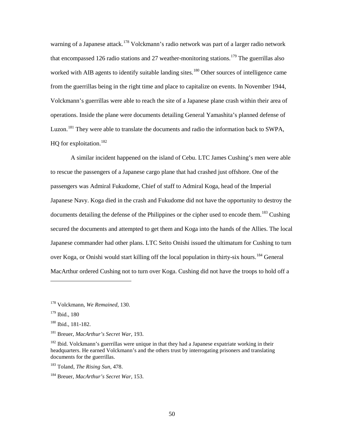warning of a Japanese attack.<sup>178</sup> Volckmann's radio network was part of a larger radio network that encompassed 126 radio stations and 27 weather-monitoring stations.<sup>179</sup> The guerrillas also worked with AIB agents to identify suitable landing sites.<sup>180</sup> Other sources of intelligence came from the guerrillas being in the right time and place to capitalize on events. In November 1944, Volckmann's guerrillas were able to reach the site of a Japanese plane crash within their area of operations. Inside the plane were documents detailing General Yamashita's planned defense of Luzon.<sup>181</sup> They were able to translate the documents and radio the information back to SWPA, HO for exploitation. $^{182}$ 

A similar incident happened on the island of Cebu. LTC James Cushing's men were able to rescue the passengers of a Japanese cargo plane that had crashed just offshore. One of the passengers was Admiral Fukudome, Chief of staff to Admiral Koga, head of the Imperial Japanese Navy. Koga died in the crash and Fukudome did not have the opportunity to destroy the documents detailing the defense of the Philippines or the cipher used to encode them.<sup>183</sup> Cushing secured the documents and attempted to get them and Koga into the hands of the Allies. The local Japanese commander had other plans. LTC Seito Onishi issued the ultimatum for Cushing to turn over Koga, or Onishi would start killing off the local population in thirty-six hours.<sup>184</sup> General MacArthur ordered Cushing not to turn over Koga. Cushing did not have the troops to hold off a

<sup>178</sup> Volckmann, *We Remained,* 130.

<sup>179</sup> Ibid., 180

<sup>180</sup> Ibid., 181-182.

<sup>181</sup> Breuer, *MacArthur's Secret War,* 193.

 $182$  Ibid. Volckmann's guerrillas were unique in that they had a Japanese expatriate working in their headquarters. He earned Volckmann's and the others trust by interrogating prisoners and translating documents for the guerrillas.

<sup>183</sup> Toland, *The Rising Sun,* 478.

<sup>184</sup> Breuer, *MacArthur's Secret War,* 153.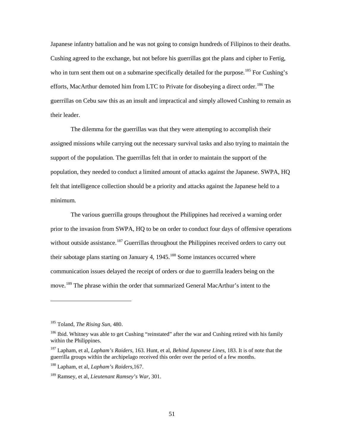Japanese infantry battalion and he was not going to consign hundreds of Filipinos to their deaths. Cushing agreed to the exchange, but not before his guerrillas got the plans and cipher to Fertig, who in turn sent them out on a submarine specifically detailed for the purpose.<sup>185</sup> For Cushing's efforts, MacArthur demoted him from LTC to Private for disobeying a direct order.<sup>186</sup> The guerrillas on Cebu saw this as an insult and impractical and simply allowed Cushing to remain as their leader.

The dilemma for the guerrillas was that they were attempting to accomplish their assigned missions while carrying out the necessary survival tasks and also trying to maintain the support of the population. The guerrillas felt that in order to maintain the support of the population, they needed to conduct a limited amount of attacks against the Japanese. SWPA, HQ felt that intelligence collection should be a priority and attacks against the Japanese held to a minimum.

The various guerrilla groups throughout the Philippines had received a warning order prior to the invasion from SWPA, HQ to be on order to conduct four days of offensive operations without outside assistance.<sup>187</sup> Guerrillas throughout the Philippines received orders to carry out their sabotage plans starting on January 4,  $1945$ <sup>188</sup> Some instances occurred where communication issues delayed the receipt of orders or due to guerrilla leaders being on the move.<sup>189</sup> The phrase within the order that summarized General MacArthur's intent to the

<sup>185</sup> Toland, *The Rising Sun,* 480.

<sup>&</sup>lt;sup>186</sup> Ibid. Whitney was able to get Cushing "reinstated" after the war and Cushing retired with his family within the Philippines.

<sup>187</sup> Lapham, et al, *Lapham's Raiders,* 163. Hunt, et al, *Behind Japanese Lines*, 183. It is of note that the guerrilla groups within the archipelago received this order over the period of a few months.

<sup>188</sup> Lapham, et al, *Lapham's Raiders,*167.

<sup>189</sup> Ramsey, et al, *Lieutenant Ramsey's War,* 301.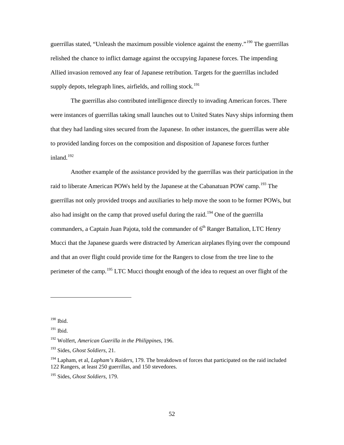guerrillas stated, "Unleash the maximum possible violence against the enemy."<sup>190</sup> The guerrillas relished the chance to inflict damage against the occupying Japanese forces. The impending Allied invasion removed any fear of Japanese retribution. Targets for the guerrillas included supply depots, telegraph lines, airfields, and rolling stock.<sup>191</sup>

The guerrillas also contributed intelligence directly to invading American forces. There were instances of guerrillas taking small launches out to United States Navy ships informing them that they had landing sites secured from the Japanese. In other instances, the guerrillas were able to provided landing forces on the composition and disposition of Japanese forces further inland.<sup>192</sup>

Another example of the assistance provided by the guerrillas was their participation in the raid to liberate American POWs held by the Japanese at the Cabanatuan POW camp.<sup>193</sup> The guerrillas not only provided troops and auxiliaries to help move the soon to be former POWs, but also had insight on the camp that proved useful during the raid.<sup>194</sup> One of the guerrilla commanders, a Captain Juan Pajota, told the commander of  $6<sup>th</sup>$  Ranger Battalion, LTC Henry Mucci that the Japanese guards were distracted by American airplanes flying over the compound and that an over flight could provide time for the Rangers to close from the tree line to the perimeter of the camp.<sup>195</sup> LTC Mucci thought enough of the idea to request an over flight of the

 $190$  Ibid.

<sup>&</sup>lt;sup>191</sup> Ibid.

<sup>192</sup> Wolfert, *American Guerilla in the Philippines,* 196.

<sup>193</sup> Sides, *Ghost Soldiers,* 21.

<sup>194</sup> Lapham, et al, *Lapham's Raiders,* 179. The breakdown of forces that participated on the raid included 122 Rangers, at least 250 guerrillas, and 150 stevedores.

<sup>195</sup> Sides, *Ghost Soldiers,* 179.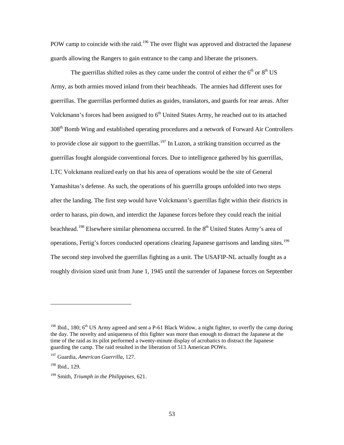POW camp to coincide with the raid.<sup>196</sup> The over flight was approved and distracted the Japanese guards allowing the Rangers to gain entrance to the camp and liberate the prisoners.

The guerrillas shifted roles as they came under the control of either the  $6<sup>th</sup>$  or  $8<sup>th</sup>$  US Army, as both armies moved inland from their beachheads. The armies had different uses for guerrillas. The guerrillas performed duties as guides, translators, and guards for rear areas. After Volckmann's forces had been assigned to  $6<sup>th</sup>$  United States Army, he reached out to its attached  $308<sup>th</sup>$  Bomb Wing and established operating procedures and a network of Forward Air Controllers to provide close air support to the guerrillas.<sup>197</sup> In Luzon, a striking transition occurred as the guerrillas fought alongside conventional forces. Due to intelligence gathered by his guerrillas, LTC Volckmann realized early on that his area of operations would be the site of General Yamashitas's defense. As such, the operations of his guerrilla groups unfolded into two steps after the landing. The first step would have Volckmann's guerrillas fight within their districts in order to harass, pin down, and interdict the Japanese forces before they could reach the initial beachhead.<sup>198</sup> Elsewhere similar phenomena occurred. In the  $8<sup>th</sup>$  United States Army's area of operations, Fertig's forces conducted operations clearing Japanese garrisons and landing sites.<sup>199</sup> The second step involved the guerrillas fighting as a unit. The USAFIP-NL actually fought as a roughly division sized unit from June 1, 1945 until the surrender of Japanese forces on September

<sup>&</sup>lt;sup>196</sup> Ibid., 180;  $6<sup>th</sup>$  US Army agreed and sent a P-61 Black Widow, a night fighter, to overfly the camp during the day. The novelty and uniqueness of this fighter was more than enough to distract the Japanese at the time of the raid as its pilot performed a twenty-minute display of acrobatics to distract the Japanese guarding the camp. The raid resulted in the liberation of 513 American POWs.

<sup>197</sup> Guardia, *American Guerrilla,* 127.

<sup>198</sup> Ibid., 129.

<sup>199</sup> Smith, *Triumph in the Philippines,* 621.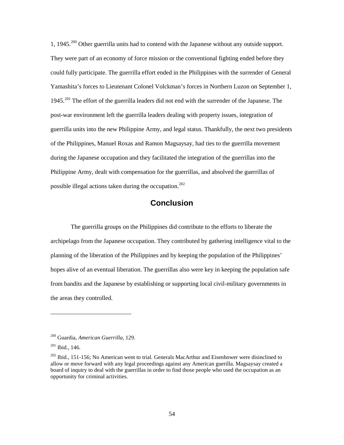1, 1945.<sup>200</sup> Other guerrilla units had to contend with the Japanese without any outside support. They were part of an economy of force mission or the conventional fighting ended before they could fully participate. The guerrilla effort ended in the Philippines with the surrender of General Yamashita's forces to Lieutenant Colonel Volckman's forces in Northern Luzon on September 1, 1945.<sup>201</sup> The effort of the guerrilla leaders did not end with the surrender of the Japanese. The post-war environment left the guerrilla leaders dealing with property issues, integration of guerrilla units into the new Philippine Army, and legal status. Thankfully, the next two presidents of the Philippines, Manuel Roxas and Ramon Magsaysay, had ties to the guerrilla movement during the Japanese occupation and they facilitated the integration of the guerrillas into the Philippine Army, dealt with compensation for the guerrillas, and absolved the guerrillas of possible illegal actions taken during the occupation.<sup>202</sup>

### **Conclusion**

The guerrilla groups on the Philippines did contribute to the efforts to liberate the archipelago from the Japanese occupation. They contributed by gathering intelligence vital to the planning of the liberation of the Philippines and by keeping the population of the Philippines' hopes alive of an eventual liberation. The guerrillas also were key in keeping the population safe from bandits and the Japanese by establishing or supporting local civil-military governments in the areas they controlled.

<sup>200</sup> Guardia, *American Guerrilla,* 129.

 $201$  Ibid., 146.

 $202$  Ibid., 151-156; No American went to trial. Generals MacArthur and Eisenhower were disinclined to allow or move forward with any legal proceedings against any American guerilla. Magsaysay created a board of inquiry to deal with the guerrillas in order to find those people who used the occupation as an opportunity for criminal activities.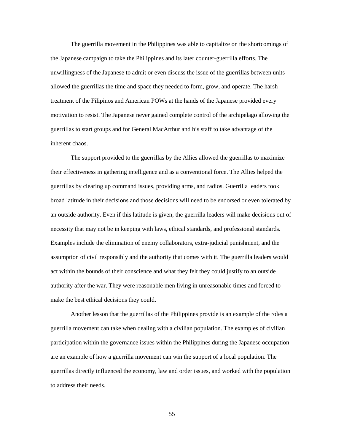The guerrilla movement in the Philippines was able to capitalize on the shortcomings of the Japanese campaign to take the Philippines and its later counter-guerrilla efforts. The unwillingness of the Japanese to admit or even discuss the issue of the guerrillas between units allowed the guerrillas the time and space they needed to form, grow, and operate. The harsh treatment of the Filipinos and American POWs at the hands of the Japanese provided every motivation to resist. The Japanese never gained complete control of the archipelago allowing the guerrillas to start groups and for General MacArthur and his staff to take advantage of the inherent chaos.

The support provided to the guerrillas by the Allies allowed the guerrillas to maximize their effectiveness in gathering intelligence and as a conventional force. The Allies helped the guerrillas by clearing up command issues, providing arms, and radios. Guerrilla leaders took broad latitude in their decisions and those decisions will need to be endorsed or even tolerated by an outside authority. Even if this latitude is given, the guerrilla leaders will make decisions out of necessity that may not be in keeping with laws, ethical standards, and professional standards. Examples include the elimination of enemy collaborators, extra-judicial punishment, and the assumption of civil responsibly and the authority that comes with it. The guerrilla leaders would act within the bounds of their conscience and what they felt they could justify to an outside authority after the war. They were reasonable men living in unreasonable times and forced to make the best ethical decisions they could.

Another lesson that the guerrillas of the Philippines provide is an example of the roles a guerrilla movement can take when dealing with a civilian population. The examples of civilian participation within the governance issues within the Philippines during the Japanese occupation are an example of how a guerrilla movement can win the support of a local population. The guerrillas directly influenced the economy, law and order issues, and worked with the population to address their needs.

55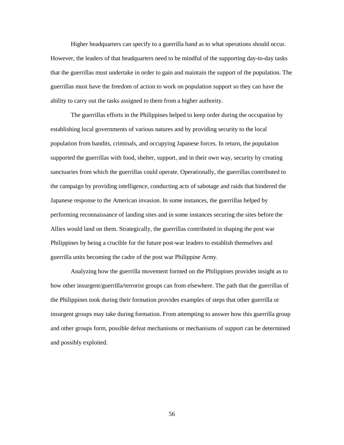Higher headquarters can specify to a guerrilla band as to what operations should occur. However, the leaders of that headquarters need to be mindful of the supporting day-to-day tasks that the guerrillas must undertake in order to gain and maintain the support of the population. The guerrillas must have the freedom of action to work on population support so they can have the ability to carry out the tasks assigned to them from a higher authority.

The guerrillas efforts in the Philippines helped to keep order during the occupation by establishing local governments of various natures and by providing security to the local population from bandits, criminals, and occupying Japanese forces. In return, the population supported the guerrillas with food, shelter, support, and in their own way, security by creating sanctuaries from which the guerrillas could operate. Operationally, the guerrillas contributed to the campaign by providing intelligence, conducting acts of sabotage and raids that hindered the Japanese response to the American invasion. In some instances, the guerrillas helped by performing reconnaissance of landing sites and in some instances securing the sites before the Allies would land on them. Strategically, the guerrillas contributed in shaping the post war Philippines by being a crucible for the future post-war leaders to establish themselves and guerrilla units becoming the cadre of the post war Philippine Army.

Analyzing how the guerrilla movement formed on the Philippines provides insight as to how other insurgent/guerrilla/terrorist groups can from elsewhere. The path that the guerrillas of the Philippines took during their formation provides examples of steps that other guerrilla or insurgent groups may take during formation. From attempting to answer how this guerrilla group and other groups form, possible defeat mechanisms or mechanisms of support can be determined and possibly exploited.

56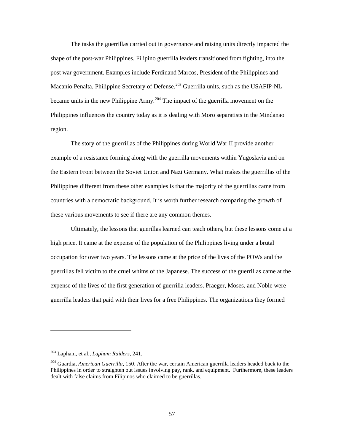The tasks the guerrillas carried out in governance and raising units directly impacted the shape of the post-war Philippines. Filipino guerrilla leaders transitioned from fighting, into the post war government. Examples include Ferdinand Marcos, President of the Philippines and Macanio Penalta, Philippine Secretary of Defense.<sup>203</sup> Guerrilla units, such as the USAFIP-NL became units in the new Philippine Army.<sup>204</sup> The impact of the guerrilla movement on the Philippines influences the country today as it is dealing with Moro separatists in the Mindanao region.

The story of the guerrillas of the Philippines during World War II provide another example of a resistance forming along with the guerrilla movements within Yugoslavia and on the Eastern Front between the Soviet Union and Nazi Germany. What makes the guerrillas of the Philippines different from these other examples is that the majority of the guerrillas came from countries with a democratic background. It is worth further research comparing the growth of these various movements to see if there are any common themes.

Ultimately, the lessons that guerillas learned can teach others, but these lessons come at a high price. It came at the expense of the population of the Philippines living under a brutal occupation for over two years. The lessons came at the price of the lives of the POWs and the guerrillas fell victim to the cruel whims of the Japanese. The success of the guerrillas came at the expense of the lives of the first generation of guerrilla leaders. Praeger, Moses, and Noble were guerrilla leaders that paid with their lives for a free Philippines. The organizations they formed

<sup>203</sup> Lapham, et al., *Lapham Raiders,* 241.

<sup>204</sup> Guardia, *American Guerrilla,* 150. After the war, certain American guerrilla leaders headed back to the Philippines in order to straighten out issues involving pay, rank, and equipment. Furthermore, these leaders dealt with false claims from Filipinos who claimed to be guerrillas.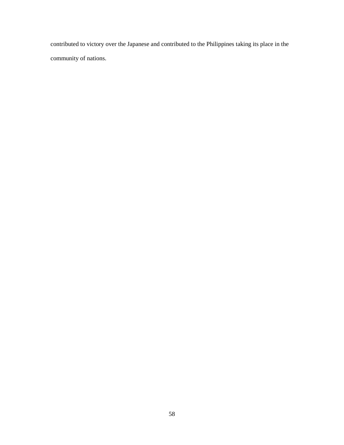contributed to victory over the Japanese and contributed to the Philippines taking its place in the community of nations.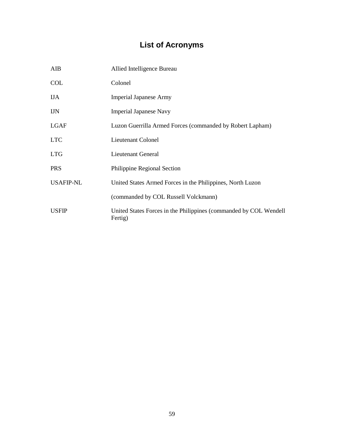# **List of Acronyms**

| AIB              | Allied Intelligence Bureau                                                   |
|------------------|------------------------------------------------------------------------------|
| <b>COL</b>       | Colonel                                                                      |
| <b>IJA</b>       | <b>Imperial Japanese Army</b>                                                |
| <b>IJN</b>       | <b>Imperial Japanese Navy</b>                                                |
| <b>LGAF</b>      | Luzon Guerrilla Armed Forces (commanded by Robert Lapham)                    |
| <b>LTC</b>       | Lieutenant Colonel                                                           |
| <b>LTG</b>       | Lieutenant General                                                           |
| <b>PRS</b>       | Philippine Regional Section                                                  |
| <b>USAFIP-NL</b> | United States Armed Forces in the Philippines, North Luzon                   |
|                  | (commanded by COL Russell Volckmann)                                         |
| <b>USFIP</b>     | United States Forces in the Philippines (commanded by COL Wendell<br>Fertig) |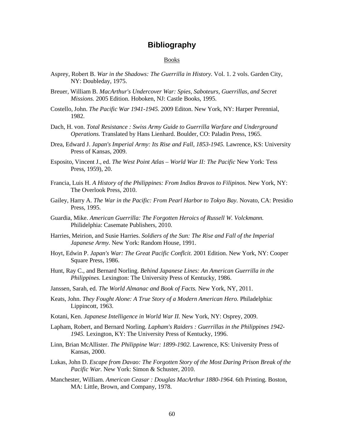### **Bibliography**

#### Books

- Asprey, Robert B. *War in the Shadows: The Guerrilla in History.* Vol. 1. 2 vols. Garden City, NY: Doubleday, 1975.
- Breuer, William B. *MacArthur's Undercover War: Spies, Saboteurs, Guerrillas, and Secret Missions.* 2005 Edition. Hoboken, NJ: Castle Books, 1995.
- Costello, John. *The Pacific War 1941-1945.* 2009 Editon. New York, NY: Harper Perennial, 1982.
- Dach, H. von. *Total Resistance : Swiss Army Guide to Guerrilla Warfare and Underground Operations.* Translated by Hans Lienhard. Boulder, CO: Paladin Press, 1965.
- Drea, Edward J. *Japan's Imperial Army: Its Rise and Fall, 1853-1945.* Lawrence, KS: University Press of Kansas, 2009.
- Esposito, Vincent J., ed. *The West Point Atlas World War II: The Pacific* New York: Tess Press, 1959), 20.
- Francia, Luis H. *A History of the Philippines: From Indios Bravos to Filipinos.* New York, NY: The Overlook Press, 2010.
- Gailey, Harry A. *The War in the Pacific: From Pearl Harbor to Tokyo Bay.* Novato, CA: Presidio Press, 1995.
- Guardia, Mike. *American Guerrilla: The Forgotten Heroics of Russell W. Volckmann.* Philidelphia: Casemate Publishers, 2010.
- Harries, Meirion, and Susie Harries. *Soldiers of the Sun: The Rise and Fall of the Imperial Japanese Army.* New York: Random House, 1991.
- Hoyt, Edwin P. *Japan's War: The Great Pacific Conflcit.* 2001 Edition. New York, NY: Cooper Square Press, 1986.
- Hunt, Ray C., and Bernard Norling. *Behind Japanese Lines: An American Guerrilla in the Philippines.* Lexington: The University Press of Kentucky, 1986.
- Janssen, Sarah, ed. *The World Almanac and Book of Facts.* New York, NY, 2011.
- Keats, John. *They Fought Alone: A True Story of a Modern American Hero.* Philadelphia: Lippincott, 1963.
- Kotani, Ken. *Japanese Intelligence in World War II.* New York, NY: Osprey, 2009.
- Lapham, Robert, and Bernard Norling. *Lapham's Raiders : Guerrillas in the Philippines 1942- 1945.* Lexington, KY: The University Press of Kentucky, 1996.
- Linn, Brian McAllister. *The Philippine War: 1899-1902.* Lawrence, KS: University Press of Kansas, 2000.
- Lukas, John D. *Escape from Davao: The Forgotten Story of the Most Daring Prison Break of the Pacific War.* New York: Simon & Schuster, 2010.
- Manchester, William. *American Ceasar : Douglas MacArthur 1880-1964.* 6th Printing. Boston, MA: Little, Brown, and Company, 1978.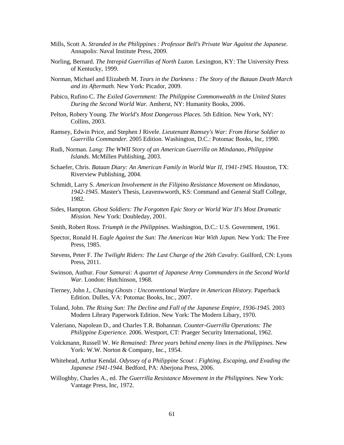- Mills, Scott A. *Stranded in the Philippines : Professor Bell's Private War Against the Japanese.* Annapolis: Naval Institute Press, 2009.
- Norling, Bernard. *The Intrepid Guerrillas of North Luzon.* Lexington, KY: The University Press of Kentucky, 1999.
- Norman, Michael and Elizabeth M. *Tears in the Darkness : The Story of the Bataan Death March and its Aftermath.* New York: Picador, 2009.
- Pabico, Rufino C. *The Exiled Government: The Philippine Commonwealth in the United States During the Second World War.* Amherst, NY: Humanity Books, 2006.
- Pelton, Robery Young. *The World's Most Dangerous Places.* 5th Edition. New York, NY: Collins, 2003.
- Ramsey, Edwin Price, and Stephen J Rivele. *Lieutenant Ramsey's War: From Horse Soldier to Guerrilla Commander.* 2005 Edition. Washington, D.C.: Potomac Books, Inc, 1990.
- Rudi, Norman. *Lang: The WWII Story of an American Guerrilla on Mindanao, Philippine Islands.* McMillen Publishing, 2003.
- Schaefer, Chris. *Bataan Diary: An American Family in World War II, 1941-1945.* Houston, TX: Riverview Publishing, 2004.
- Schmidt, Larry S. *American Involvement in the Filipino Resistance Movement on Mindanao, 1942-1945.* Master's Thesis, Leavenwworth, KS: Command and General Staff College, 1982.
- Sides, Hampton. *Ghost Soldiers: The Forgotten Epic Story or World War II's Most Dramatic Mission.* New York: Doubleday, 2001.
- Smith, Robert Ross. *Triumph in the Philippines.* Washington, D.C.: U.S. Government, 1961.
- Spector, Ronald H. *Eagle Against the Sun: The American War With Japan.* New York: The Free Press, 1985.
- Stevens, Peter F. *The Twilight Riders: The Last Charge of the 26th Cavalry.* Guilford, CN: Lyons Press, 2011.
- Swinson, Authur. *Four Samurai: A quartet of Japanese Army Commanders in the Second World War.* London: Hutchinson, 1968.
- Tierney, John J,. *Chasing Ghosts : Unconventional Warfare in American History.* Paperback Edition. Dulles, VA: Potomac Books, Inc., 2007.
- Toland, John. *The Rising Sun: The Decline and Fall of the Japanese Empire, 1936-1945.* 2003 Modern Library Paperwork Edition. New York: The Modern Libary, 1970.
- Valeriano, Napolean D., and Charles T.R. Bohannan. *Counter-Guerrilla Operations: The Philippine Experience.* 2006. Westport, CT: Praeger Security International, 1962.
- Volckmann, Russell W. *We Remained: Three years behind enemy lines in the Philippines.* New York: W.W. Norton & Company, Inc., 1954.
- Whitehead, Arthur Kendal. *Odyssey of a Philippine Scout : Fighting, Escaping, and Evading the Japanese 1941-1944.* Bedford, PA: Aberjona Press, 2006.
- Willoghby, Charles A., ed. *The Guerrilla Resistance Movement in the Philippines.* New York: Vantage Press, Inc, 1972.